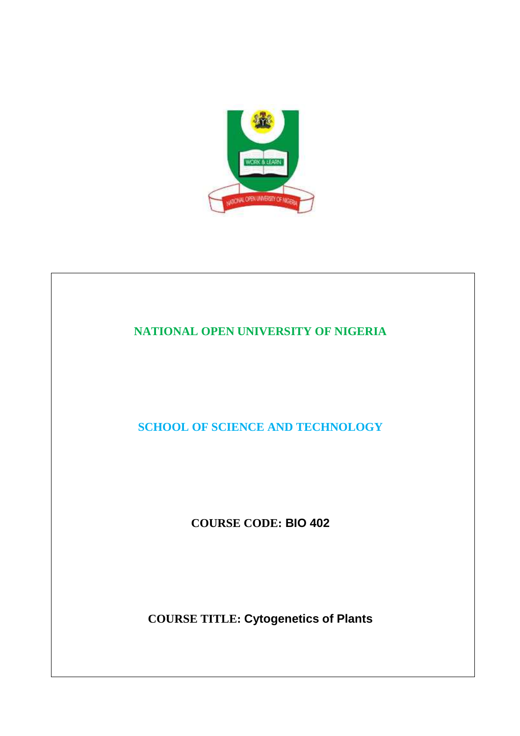

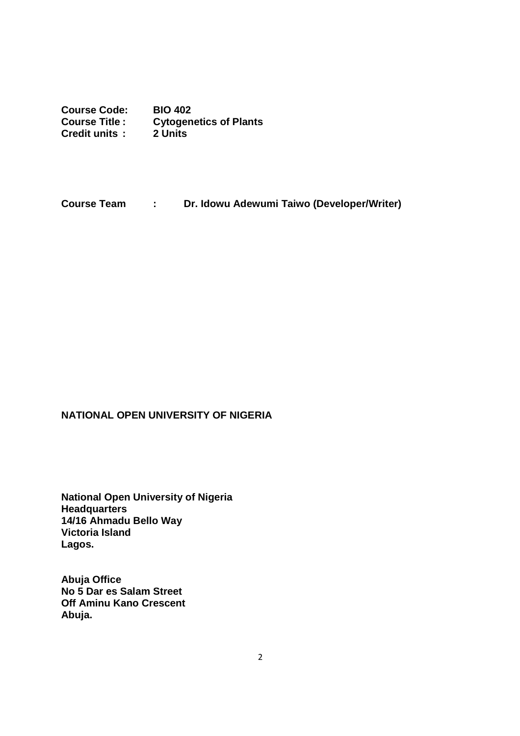**Course Code: BIO 402 Course Title : Cytogenetics of Plants Credit units : 2 Units** 

**Course Team : Dr. Idowu Adewumi Taiwo (Developer/Writer)** 

## **NATIONAL OPEN UNIVERSITY OF NIGERIA**

**National Open University of Nigeria Headquarters 14/16 Ahmadu Bello Way Victoria Island Lagos.** 

**Abuja Office No 5 Dar es Salam Street Off Aminu Kano Crescent Abuja.**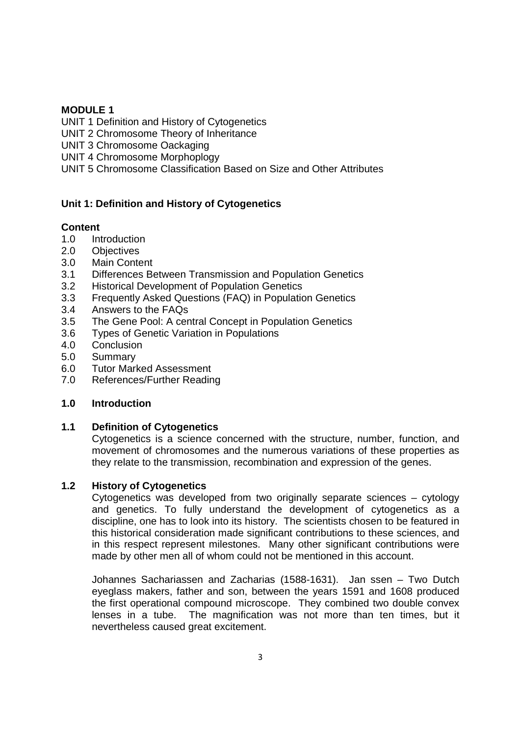### **MODULE 1**

UNIT 1 Definition and History of Cytogenetics UNIT 2 Chromosome Theory of Inheritance UNIT 3 Chromosome Oackaging UNIT 4 Chromosome Morphoplogy UNIT 5 Chromosome Classification Based on Size and Other Attributes

## **Unit 1: Definition and History of Cytogenetics**

## **Content**

- 1.0 Introduction
- 2.0 Objectives
- 3.0 Main Content
- 3.1 Differences Between Transmission and Population Genetics
- 3.2 Historical Development of Population Genetics
- 3.3 Frequently Asked Questions (FAQ) in Population Genetics
- 3.4 Answers to the FAQs
- 3.5 The Gene Pool: A central Concept in Population Genetics
- 3.6 Types of Genetic Variation in Populations
- 4.0 Conclusion
- 5.0 Summary
- 6.0 Tutor Marked Assessment
- 7.0 References/Further Reading

### **1.0 Introduction**

### **1.1 Definition of Cytogenetics**

Cytogenetics is a science concerned with the structure, number, function, and movement of chromosomes and the numerous variations of these properties as they relate to the transmission, recombination and expression of the genes.

## **1.2 History of Cytogenetics**

Cytogenetics was developed from two originally separate sciences – cytology and genetics. To fully understand the development of cytogenetics as a discipline, one has to look into its history. The scientists chosen to be featured in this historical consideration made significant contributions to these sciences, and in this respect represent milestones. Many other significant contributions were made by other men all of whom could not be mentioned in this account.

Johannes Sachariassen and Zacharias (1588-1631). Jan ssen – Two Dutch eyeglass makers, father and son, between the years 1591 and 1608 produced the first operational compound microscope. They combined two double convex lenses in a tube. The magnification was not more than ten times, but it nevertheless caused great excitement.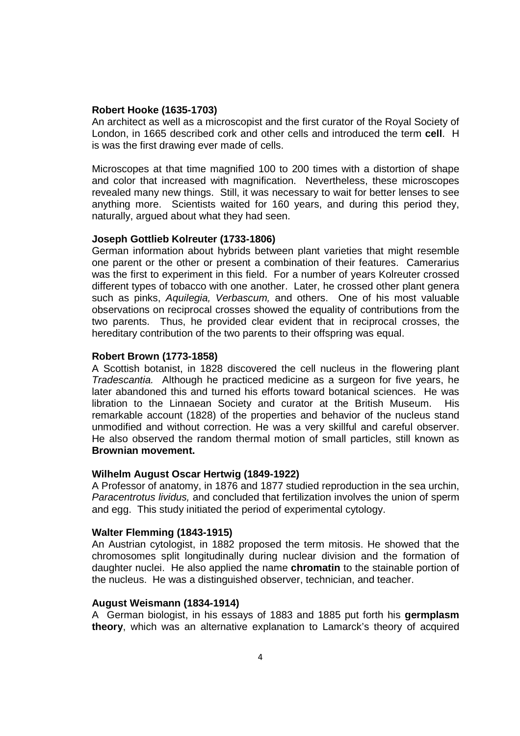#### **Robert Hooke (1635-1703)**

An architect as well as a microscopist and the first curator of the Royal Society of London, in 1665 described cork and other cells and introduced the term **cell**. H is was the first drawing ever made of cells.

Microscopes at that time magnified 100 to 200 times with a distortion of shape and color that increased with magnification. Nevertheless, these microscopes revealed many new things. Still, it was necessary to wait for better lenses to see anything more. Scientists waited for 160 years, and during this period they, naturally, argued about what they had seen.

#### **Joseph Gottlieb Kolreuter (1733-1806)**

German information about hybrids between plant varieties that might resemble one parent or the other or present a combination of their features. Camerarius was the first to experiment in this field. For a number of years Kolreuter crossed different types of tobacco with one another. Later, he crossed other plant genera such as pinks, Aquilegia, Verbascum, and others. One of his most valuable observations on reciprocal crosses showed the equality of contributions from the two parents. Thus, he provided clear evident that in reciprocal crosses, the hereditary contribution of the two parents to their offspring was equal.

#### **Robert Brown (1773-1858)**

A Scottish botanist, in 1828 discovered the cell nucleus in the flowering plant Tradescantia. Although he practiced medicine as a surgeon for five years, he later abandoned this and turned his efforts toward botanical sciences. He was libration to the Linnaean Society and curator at the British Museum. His remarkable account (1828) of the properties and behavior of the nucleus stand unmodified and without correction. He was a very skillful and careful observer. He also observed the random thermal motion of small particles, still known as **Brownian movement.** 

#### **Wilhelm August Oscar Hertwig (1849-1922)**

A Professor of anatomy, in 1876 and 1877 studied reproduction in the sea urchin, Paracentrotus lividus, and concluded that fertilization involves the union of sperm and egg. This study initiated the period of experimental cytology.

#### **Walter Flemming (1843-1915)**

An Austrian cytologist, in 1882 proposed the term mitosis. He showed that the chromosomes split longitudinally during nuclear division and the formation of daughter nuclei. He also applied the name **chromatin** to the stainable portion of the nucleus. He was a distinguished observer, technician, and teacher.

#### **August Weismann (1834-1914)**

A German biologist, in his essays of 1883 and 1885 put forth his **germplasm theory**, which was an alternative explanation to Lamarck's theory of acquired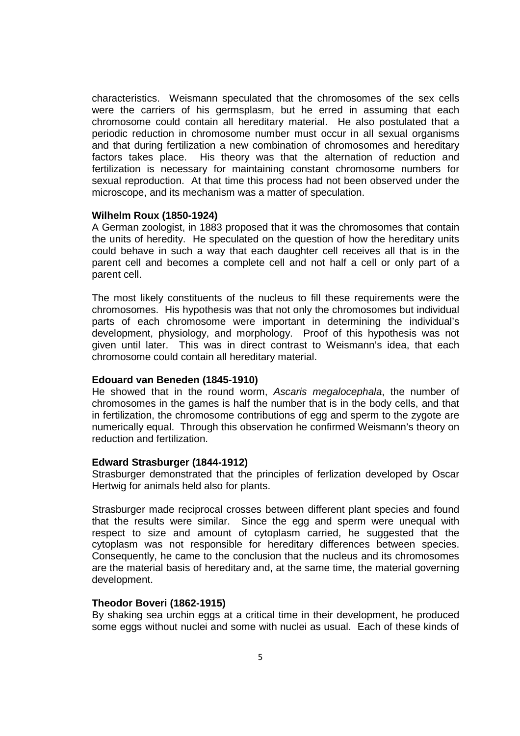characteristics. Weismann speculated that the chromosomes of the sex cells were the carriers of his germsplasm, but he erred in assuming that each chromosome could contain all hereditary material. He also postulated that a periodic reduction in chromosome number must occur in all sexual organisms and that during fertilization a new combination of chromosomes and hereditary factors takes place. His theory was that the alternation of reduction and fertilization is necessary for maintaining constant chromosome numbers for sexual reproduction. At that time this process had not been observed under the microscope, and its mechanism was a matter of speculation.

#### **Wilhelm Roux (1850-1924)**

A German zoologist, in 1883 proposed that it was the chromosomes that contain the units of heredity. He speculated on the question of how the hereditary units could behave in such a way that each daughter cell receives all that is in the parent cell and becomes a complete cell and not half a cell or only part of a parent cell.

The most likely constituents of the nucleus to fill these requirements were the chromosomes. His hypothesis was that not only the chromosomes but individual parts of each chromosome were important in determining the individual's development, physiology, and morphology. Proof of this hypothesis was not given until later. This was in direct contrast to Weismann's idea, that each chromosome could contain all hereditary material.

#### **Edouard van Beneden (1845-1910)**

He showed that in the round worm, Ascaris megalocephala, the number of chromosomes in the games is half the number that is in the body cells, and that in fertilization, the chromosome contributions of egg and sperm to the zygote are numerically equal. Through this observation he confirmed Weismann's theory on reduction and fertilization.

#### **Edward Strasburger (1844-1912)**

Strasburger demonstrated that the principles of ferlization developed by Oscar Hertwig for animals held also for plants.

Strasburger made reciprocal crosses between different plant species and found that the results were similar. Since the egg and sperm were unequal with respect to size and amount of cytoplasm carried, he suggested that the cytoplasm was not responsible for hereditary differences between species. Consequently, he came to the conclusion that the nucleus and its chromosomes are the material basis of hereditary and, at the same time, the material governing development.

#### **Theodor Boveri (1862-1915)**

By shaking sea urchin eggs at a critical time in their development, he produced some eggs without nuclei and some with nuclei as usual. Each of these kinds of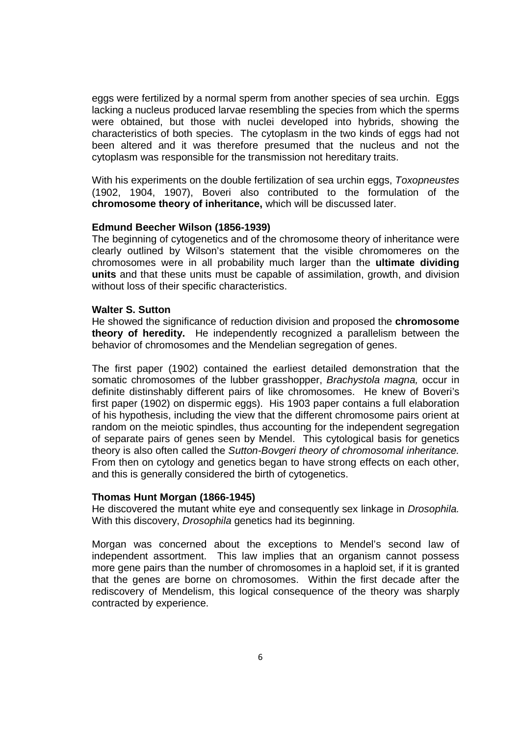eggs were fertilized by a normal sperm from another species of sea urchin. Eggs lacking a nucleus produced larvae resembling the species from which the sperms were obtained, but those with nuclei developed into hybrids, showing the characteristics of both species. The cytoplasm in the two kinds of eggs had not been altered and it was therefore presumed that the nucleus and not the cytoplasm was responsible for the transmission not hereditary traits.

With his experiments on the double fertilization of sea urchin eggs, Toxopneustes (1902, 1904, 1907), Boveri also contributed to the formulation of the **chromosome theory of inheritance,** which will be discussed later.

#### **Edmund Beecher Wilson (1856-1939)**

The beginning of cytogenetics and of the chromosome theory of inheritance were clearly outlined by Wilson's statement that the visible chromomeres on the chromosomes were in all probability much larger than the **ultimate dividing units** and that these units must be capable of assimilation, growth, and division without loss of their specific characteristics.

#### **Walter S. Sutton**

He showed the significance of reduction division and proposed the **chromosome theory of heredity.** He independently recognized a parallelism between the behavior of chromosomes and the Mendelian segregation of genes.

The first paper (1902) contained the earliest detailed demonstration that the somatic chromosomes of the lubber grasshopper, *Brachystola magna*, occur in definite distinshably different pairs of like chromosomes. He knew of Boveri's first paper (1902) on dispermic eggs). His 1903 paper contains a full elaboration of his hypothesis, including the view that the different chromosome pairs orient at random on the meiotic spindles, thus accounting for the independent segregation of separate pairs of genes seen by Mendel. This cytological basis for genetics theory is also often called the Sutton-Bovgeri theory of chromosomal inheritance. From then on cytology and genetics began to have strong effects on each other, and this is generally considered the birth of cytogenetics.

#### **Thomas Hunt Morgan (1866-1945)**

He discovered the mutant white eve and consequently sex linkage in *Drosophila.* With this discovery, Drosophila genetics had its beginning.

Morgan was concerned about the exceptions to Mendel's second law of independent assortment. This law implies that an organism cannot possess more gene pairs than the number of chromosomes in a haploid set, if it is granted that the genes are borne on chromosomes. Within the first decade after the rediscovery of Mendelism, this logical consequence of the theory was sharply contracted by experience.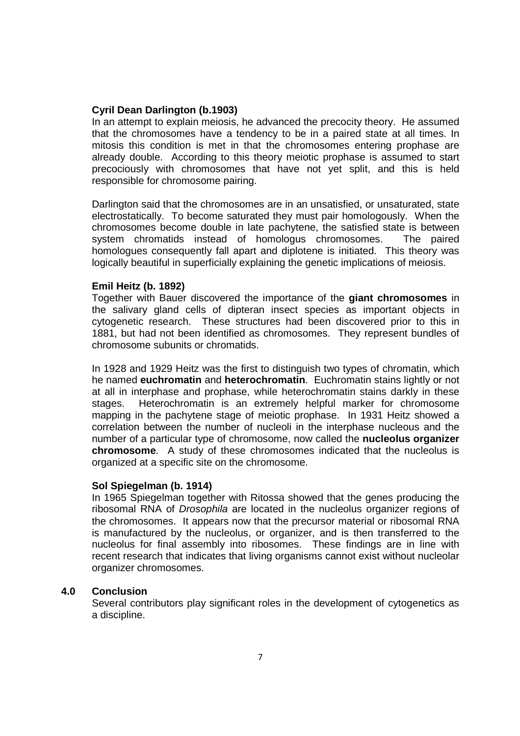#### **Cyril Dean Darlington (b.1903)**

In an attempt to explain meiosis, he advanced the precocity theory. He assumed that the chromosomes have a tendency to be in a paired state at all times. In mitosis this condition is met in that the chromosomes entering prophase are already double. According to this theory meiotic prophase is assumed to start precociously with chromosomes that have not yet split, and this is held responsible for chromosome pairing.

Darlington said that the chromosomes are in an unsatisfied, or unsaturated, state electrostatically. To become saturated they must pair homologously. When the chromosomes become double in late pachytene, the satisfied state is between system chromatids instead of homologus chromosomes. The paired homologues consequently fall apart and diplotene is initiated. This theory was logically beautiful in superficially explaining the genetic implications of meiosis.

#### **Emil Heitz (b. 1892)**

Together with Bauer discovered the importance of the **giant chromosomes** in the salivary gland cells of dipteran insect species as important objects in cytogenetic research. These structures had been discovered prior to this in 1881, but had not been identified as chromosomes. They represent bundles of chromosome subunits or chromatids.

In 1928 and 1929 Heitz was the first to distinguish two types of chromatin, which he named **euchromatin** and **heterochromatin**. Euchromatin stains lightly or not at all in interphase and prophase, while heterochromatin stains darkly in these stages. Heterochromatin is an extremely helpful marker for chromosome mapping in the pachytene stage of meiotic prophase. In 1931 Heitz showed a correlation between the number of nucleoli in the interphase nucleous and the number of a particular type of chromosome, now called the **nucleolus organizer chromosome**. A study of these chromosomes indicated that the nucleolus is organized at a specific site on the chromosome.

#### **Sol Spiegelman (b. 1914)**

In 1965 Spiegelman together with Ritossa showed that the genes producing the ribosomal RNA of Drosophila are located in the nucleolus organizer regions of the chromosomes. It appears now that the precursor material or ribosomal RNA is manufactured by the nucleolus, or organizer, and is then transferred to the nucleolus for final assembly into ribosomes. These findings are in line with recent research that indicates that living organisms cannot exist without nucleolar organizer chromosomes.

### **4.0 Conclusion**

Several contributors play significant roles in the development of cytogenetics as a discipline.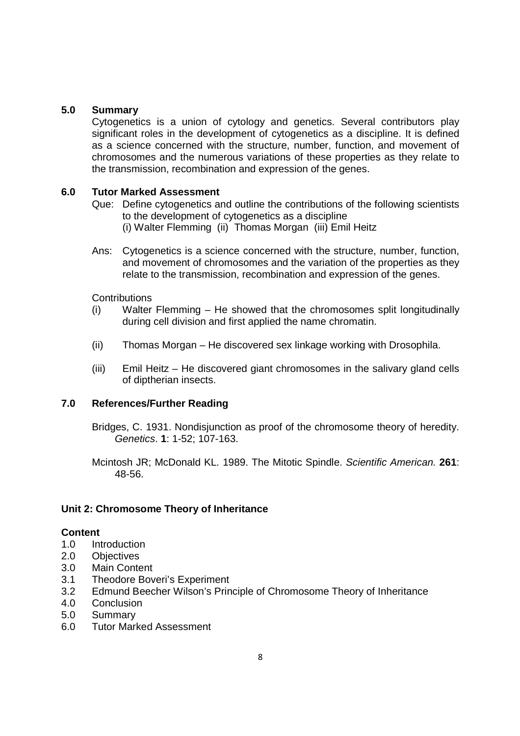### **5.0 Summary**

Cytogenetics is a union of cytology and genetics. Several contributors play significant roles in the development of cytogenetics as a discipline. It is defined as a science concerned with the structure, number, function, and movement of chromosomes and the numerous variations of these properties as they relate to the transmission, recombination and expression of the genes.

### **6.0 Tutor Marked Assessment**

- Que: Define cytogenetics and outline the contributions of the following scientists to the development of cytogenetics as a discipline (i) Walter Flemming (ii) Thomas Morgan (iii) Emil Heitz
- Ans: Cytogenetics is a science concerned with the structure, number, function, and movement of chromosomes and the variation of the properties as they relate to the transmission, recombination and expression of the genes.

### **Contributions**

- (i) Walter Flemming He showed that the chromosomes split longitudinally during cell division and first applied the name chromatin.
- (ii) Thomas Morgan He discovered sex linkage working with Drosophila.
- (iii) Emil Heitz He discovered giant chromosomes in the salivary gland cells of diptherian insects.

### **7.0 References/Further Reading**

Bridges, C. 1931. Nondisjunction as proof of the chromosome theory of heredity. Genetics. **1**: 1-52; 107-163.

Mcintosh JR; McDonald KL. 1989. The Mitotic Spindle. Scientific American. **261**: 48-56.

## **Unit 2: Chromosome Theory of Inheritance**

### **Content**

- 1.0 Introduction
- 2.0 Objectives
- 3.0 Main Content
- 3.1 Theodore Boveri's Experiment
- 3.2 Edmund Beecher Wilson's Principle of Chromosome Theory of Inheritance
- 4.0 Conclusion
- 5.0 Summary
- 6.0 Tutor Marked Assessment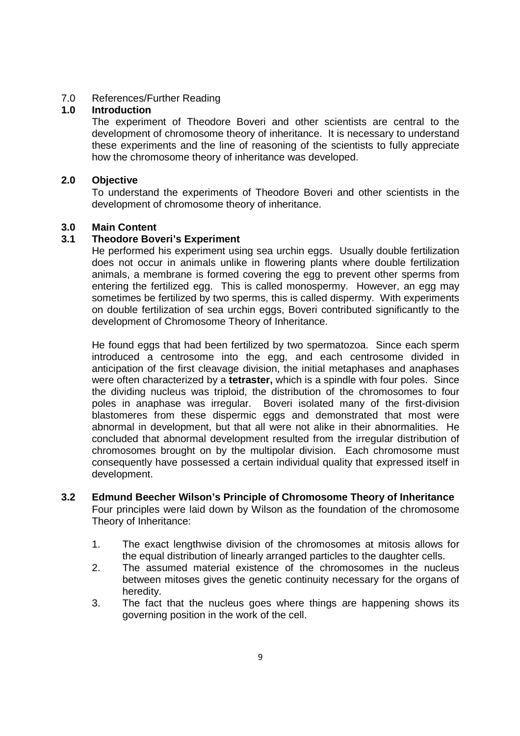### 7.0 References/Further Reading

### **1.0 Introduction**

The experiment of Theodore Boveri and other scientists are central to the development of chromosome theory of inheritance. It is necessary to understand these experiments and the line of reasoning of the scientists to fully appreciate how the chromosome theory of inheritance was developed.

### **2.0 Objective**

To understand the experiments of Theodore Boveri and other scientists in the development of chromosome theory of inheritance.

## **3.0 Main Content**

### **3.1 Theodore Boveri's Experiment**

He performed his experiment using sea urchin eggs. Usually double fertilization does not occur in animals unlike in flowering plants where double fertilization animals, a membrane is formed covering the egg to prevent other sperms from entering the fertilized egg. This is called monospermy. However, an egg may sometimes be fertilized by two sperms, this is called dispermy. With experiments on double fertilization of sea urchin eggs, Boveri contributed significantly to the development of Chromosome Theory of Inheritance.

He found eggs that had been fertilized by two spermatozoa. Since each sperm introduced a centrosome into the egg, and each centrosome divided in anticipation of the first cleavage division, the initial metaphases and anaphases were often characterized by a **tetraster,** which is a spindle with four poles. Since the dividing nucleus was triploid, the distribution of the chromosomes to four poles in anaphase was irregular. Boveri isolated many of the first-division blastomeres from these dispermic eggs and demonstrated that most were abnormal in development, but that all were not alike in their abnormalities. He concluded that abnormal development resulted from the irregular distribution of chromosomes brought on by the multipolar division. Each chromosome must consequently have possessed a certain individual quality that expressed itself in development.

#### **3.2 Edmund Beecher Wilson's Principle of Chromosome Theory of Inheritance**  Four principles were laid down by Wilson as the foundation of the chromosome Theory of Inheritance:

- 1. The exact lengthwise division of the chromosomes at mitosis allows for the equal distribution of linearly arranged particles to the daughter cells.
- 2. The assumed material existence of the chromosomes in the nucleus between mitoses gives the genetic continuity necessary for the organs of heredity.
- 3. The fact that the nucleus goes where things are happening shows its governing position in the work of the cell.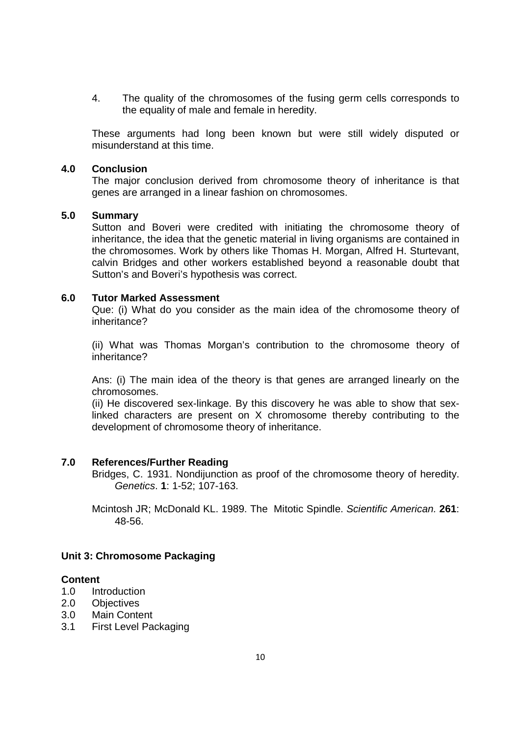4. The quality of the chromosomes of the fusing germ cells corresponds to the equality of male and female in heredity.

These arguments had long been known but were still widely disputed or misunderstand at this time.

#### **4.0 Conclusion**

The major conclusion derived from chromosome theory of inheritance is that genes are arranged in a linear fashion on chromosomes.

## **5.0 Summary**

Sutton and Boveri were credited with initiating the chromosome theory of inheritance, the idea that the genetic material in living organisms are contained in the chromosomes. Work by others like Thomas H. Morgan, Alfred H. Sturtevant, calvin Bridges and other workers established beyond a reasonable doubt that Sutton's and Boveri's hypothesis was correct.

#### **6.0 Tutor Marked Assessment**

Que: (i) What do you consider as the main idea of the chromosome theory of inheritance?

(ii) What was Thomas Morgan's contribution to the chromosome theory of inheritance?

Ans: (i) The main idea of the theory is that genes are arranged linearly on the chromosomes.

(ii) He discovered sex-linkage. By this discovery he was able to show that sexlinked characters are present on X chromosome thereby contributing to the development of chromosome theory of inheritance.

### **7.0 References/Further Reading**

Bridges, C. 1931. Nondijunction as proof of the chromosome theory of heredity. Genetics. **1**: 1-52; 107-163.

Mcintosh JR; McDonald KL. 1989. The Mitotic Spindle. Scientific American. **261**: 48-56.

### **Unit 3: Chromosome Packaging**

#### **Content**

- 1.0 Introduction
- 2.0 Objectives
- 3.0 Main Content
- 3.1 First Level Packaging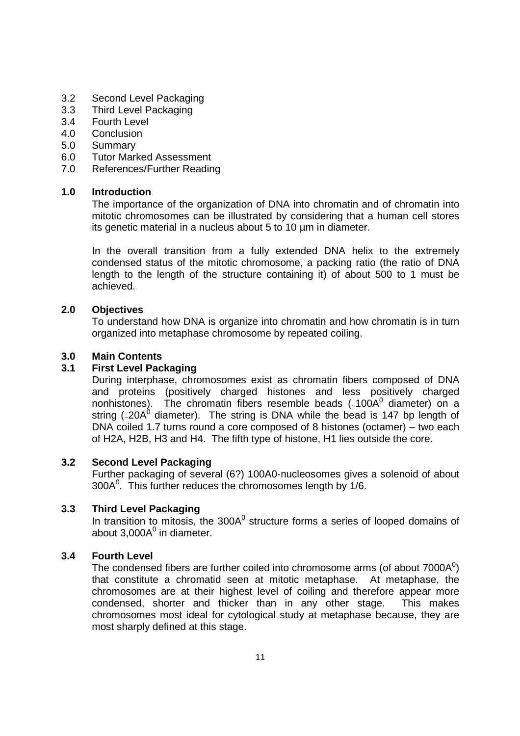- 3.2 Second Level Packaging
- 3.3 Third Level Packaging
- 3.4 Fourth Level
- 4.0 Conclusion
- 5.0 Summary
- 6.0 Tutor Marked Assessment
- 7.0 References/Further Reading

### **1.0 Introduction**

The importance of the organization of DNA into chromatin and of chromatin into mitotic chromosomes can be illustrated by considering that a human cell stores its genetic material in a nucleus about 5 to 10 µm in diameter.

In the overall transition from a fully extended DNA helix to the extremely condensed status of the mitotic chromosome, a packing ratio (the ratio of DNA length to the length of the structure containing it) of about 500 to 1 must be achieved.

### **2.0 Objectives**

To understand how DNA is organize into chromatin and how chromatin is in turn organized into metaphase chromosome by repeated coiling.

### **3.0 Main Contents**

### **3.1 First Level Packaging**

During interphase, chromosomes exist as chromatin fibers composed of DNA and proteins (positively charged histones and less positively charged nonhistones). The chromatin fibers resemble beads ( $100A<sup>0</sup>$  diameter) on a string (<sub>20</sub>A<sup>6</sup> diameter). The string is DNA while the bead is 147 bp length of DNA coiled 1.7 turns round a core composed of 8 histones (octamer) – two each of H2A, H2B, H3 and H4. The fifth type of histone, H1 lies outside the core.

### **3.2 Second Level Packaging**

Further packaging of several (6?) 100A0-nucleosomes gives a solenoid of about  $300A<sup>0</sup>$ . This further reduces the chromosomes length by 1/6.

### **3.3 Third Level Packaging**

In transition to mitosis, the  $300A<sup>0</sup>$  structure forms a series of looped domains of about 3,000 $A^0$  in diameter.

### **3.4 Fourth Level**

The condensed fibers are further coiled into chromosome arms (of about  $7000A<sup>0</sup>$ ) that constitute a chromatid seen at mitotic metaphase. At metaphase, the chromosomes are at their highest level of coiling and therefore appear more condensed, shorter and thicker than in any other stage. This makes chromosomes most ideal for cytological study at metaphase because, they are most sharply defined at this stage.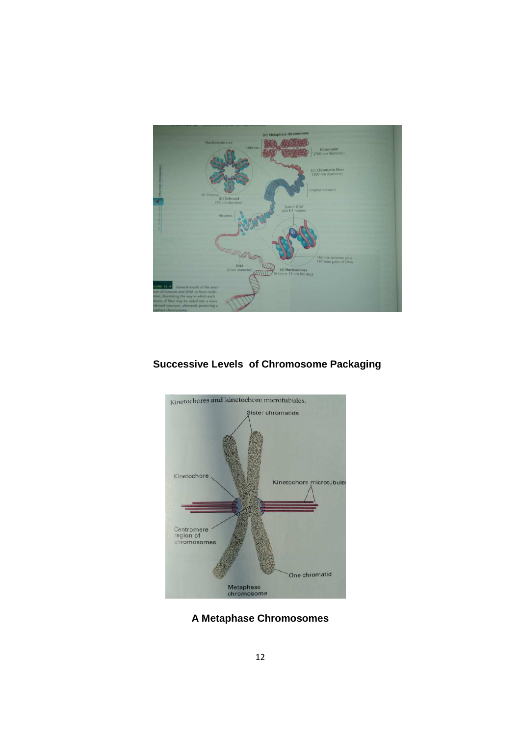

# **Successive Levels of Chromosome Packaging**



**A Metaphase Chromosomes**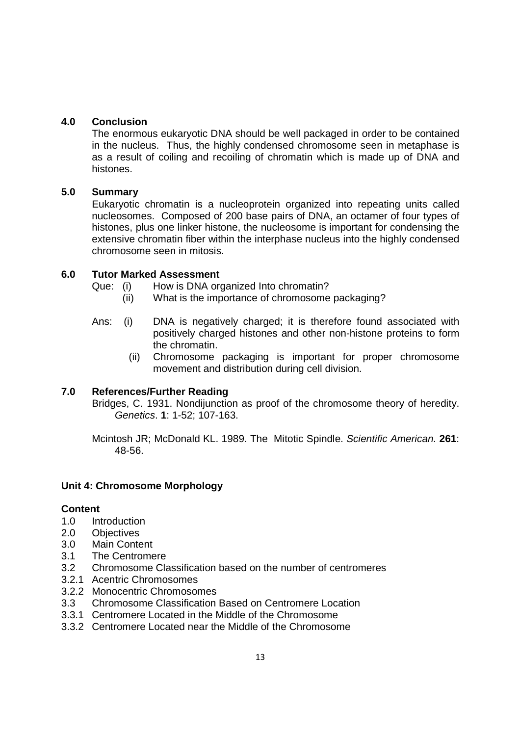## **4.0 Conclusion**

The enormous eukaryotic DNA should be well packaged in order to be contained in the nucleus. Thus, the highly condensed chromosome seen in metaphase is as a result of coiling and recoiling of chromatin which is made up of DNA and histones.

## **5.0 Summary**

Eukaryotic chromatin is a nucleoprotein organized into repeating units called nucleosomes. Composed of 200 base pairs of DNA, an octamer of four types of histones, plus one linker histone, the nucleosome is important for condensing the extensive chromatin fiber within the interphase nucleus into the highly condensed chromosome seen in mitosis.

## **6.0 Tutor Marked Assessment**

- Que: (i) How is DNA organized Into chromatin?
	- (ii) What is the importance of chromosome packaging?
- Ans: (i) DNA is negatively charged; it is therefore found associated with positively charged histones and other non-histone proteins to form the chromatin.
	- (ii) Chromosome packaging is important for proper chromosome movement and distribution during cell division.

## **7.0 References/Further Reading**

Bridges, C. 1931. Nondijunction as proof of the chromosome theory of heredity. Genetics. **1**: 1-52; 107-163.

Mcintosh JR; McDonald KL. 1989. The Mitotic Spindle. Scientific American. **261**: 48-56.

### **Unit 4: Chromosome Morphology**

### **Content**

- 1.0 Introduction
- 2.0 Objectives
- 3.0 Main Content
- 3.1 The Centromere
- 3.2 Chromosome Classification based on the number of centromeres
- 3.2.1 Acentric Chromosomes
- 3.2.2 Monocentric Chromosomes
- 3.3 Chromosome Classification Based on Centromere Location
- 3.3.1 Centromere Located in the Middle of the Chromosome
- 3.3.2 Centromere Located near the Middle of the Chromosome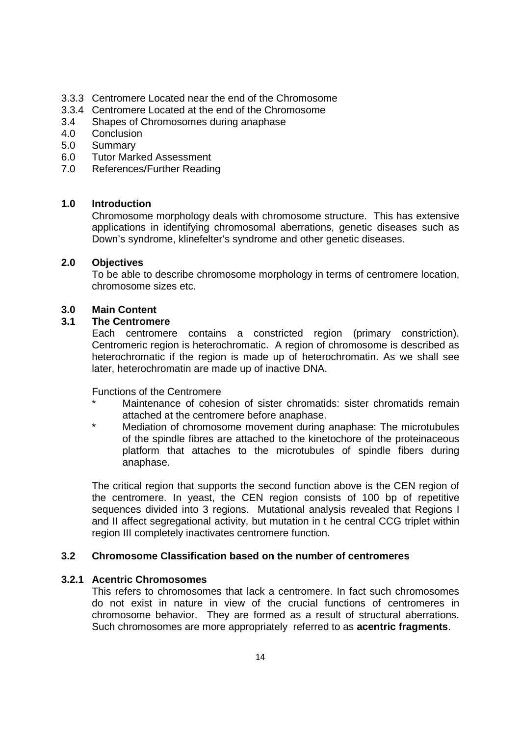- 3.3.3 Centromere Located near the end of the Chromosome
- 3.3.4 Centromere Located at the end of the Chromosome
- 3.4 Shapes of Chromosomes during anaphase
- 4.0 Conclusion
- 5.0 Summary
- 6.0 Tutor Marked Assessment
- 7.0 References/Further Reading

### **1.0 Introduction**

Chromosome morphology deals with chromosome structure. This has extensive applications in identifying chromosomal aberrations, genetic diseases such as Down's syndrome, klinefelter's syndrome and other genetic diseases.

### **2.0 Objectives**

To be able to describe chromosome morphology in terms of centromere location, chromosome sizes etc.

### **3.0 Main Content**

### **3.1 The Centromere**

Each centromere contains a constricted region (primary constriction). Centromeric region is heterochromatic. A region of chromosome is described as heterochromatic if the region is made up of heterochromatin. As we shall see later, heterochromatin are made up of inactive DNA.

Functions of the Centromere

- Maintenance of cohesion of sister chromatids: sister chromatids remain attached at the centromere before anaphase.
- Mediation of chromosome movement during anaphase: The microtubules of the spindle fibres are attached to the kinetochore of the proteinaceous platform that attaches to the microtubules of spindle fibers during anaphase.

The critical region that supports the second function above is the CEN region of the centromere. In yeast, the CEN region consists of 100 bp of repetitive sequences divided into 3 regions. Mutational analysis revealed that Regions I and II affect segregational activity, but mutation in t he central CCG triplet within region III completely inactivates centromere function.

### **3.2 Chromosome Classification based on the number of centromeres**

### **3.2.1 Acentric Chromosomes**

This refers to chromosomes that lack a centromere. In fact such chromosomes do not exist in nature in view of the crucial functions of centromeres in chromosome behavior. They are formed as a result of structural aberrations. Such chromosomes are more appropriately referred to as **acentric fragments**.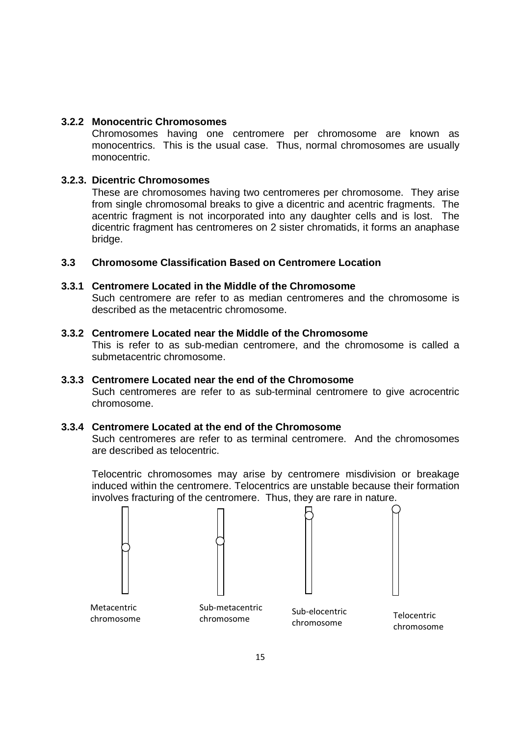### **3.2.2 Monocentric Chromosomes**

Chromosomes having one centromere per chromosome are known as monocentrics. This is the usual case. Thus, normal chromosomes are usually monocentric.

## **3.2.3. Dicentric Chromosomes**

These are chromosomes having two centromeres per chromosome. They arise from single chromosomal breaks to give a dicentric and acentric fragments. The acentric fragment is not incorporated into any daughter cells and is lost. The dicentric fragment has centromeres on 2 sister chromatids, it forms an anaphase bridge.

### **3.3 Chromosome Classification Based on Centromere Location**

### **3.3.1 Centromere Located in the Middle of the Chromosome**

Such centromere are refer to as median centromeres and the chromosome is described as the metacentric chromosome.

### **3.3.2 Centromere Located near the Middle of the Chromosome**

This is refer to as sub-median centromere, and the chromosome is called a submetacentric chromosome.

### **3.3.3 Centromere Located near the end of the Chromosome**

Such centromeres are refer to as sub-terminal centromere to give acrocentric chromosome.

### **3.3.4 Centromere Located at the end of the Chromosome**

Such centromeres are refer to as terminal centromere. And the chromosomes are described as telocentric.

Telocentric chromosomes may arise by centromere misdivision or breakage induced within the centromere. Telocentrics are unstable because their formation involves fracturing of the centromere. Thus, they are rare in nature.

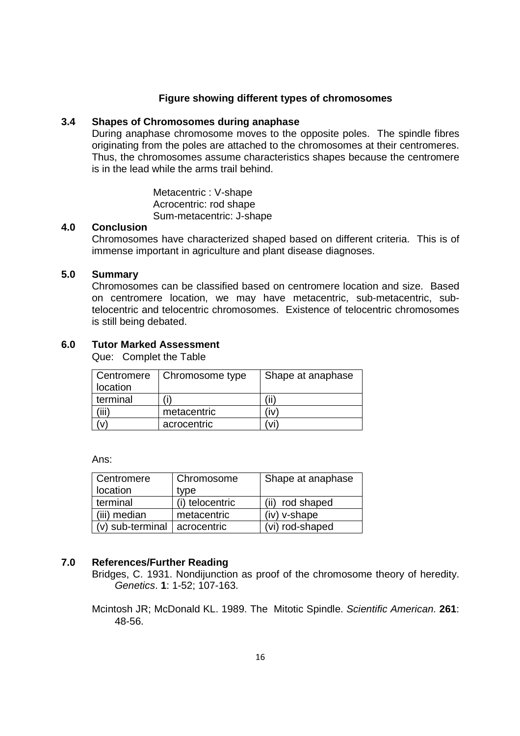#### **Figure showing different types of chromosomes**

### **3.4 Shapes of Chromosomes during anaphase**

During anaphase chromosome moves to the opposite poles. The spindle fibres originating from the poles are attached to the chromosomes at their centromeres. Thus, the chromosomes assume characteristics shapes because the centromere is in the lead while the arms trail behind.

> Metacentric : V-shape Acrocentric: rod shape Sum-metacentric: J-shape

## **4.0 Conclusion**

Chromosomes have characterized shaped based on different criteria. This is of immense important in agriculture and plant disease diagnoses.

### **5.0 Summary**

Chromosomes can be classified based on centromere location and size. Based on centromere location, we may have metacentric, sub-metacentric, subtelocentric and telocentric chromosomes. Existence of telocentric chromosomes is still being debated.

### **6.0 Tutor Marked Assessment**

Que: Complet the Table

| Centromere | Chromosome type | Shape at anaphase |
|------------|-----------------|-------------------|
| location   |                 |                   |
| terminal   |                 |                   |
| ʻiii)      | metacentric     | ı٧                |
|            | acrocentric     |                   |

Ans:

| Centromere                       | Chromosome      | Shape at anaphase |
|----------------------------------|-----------------|-------------------|
| location                         | type            |                   |
| terminal                         | (i) telocentric | (ii) rod shaped   |
| (iii) median                     | metacentric     | $(iv)$ v-shape    |
| $(v)$ sub-terminal   acrocentric |                 | (vi) rod-shaped   |

### **7.0 References/Further Reading**

Bridges, C. 1931. Nondijunction as proof of the chromosome theory of heredity. Genetics. **1**: 1-52; 107-163.

Mcintosh JR; McDonald KL. 1989. The Mitotic Spindle. Scientific American. **261**: 48-56.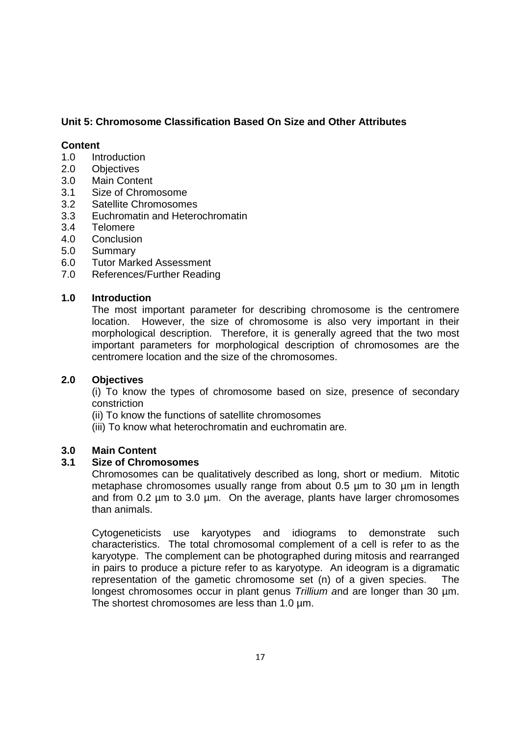## **Unit 5: Chromosome Classification Based On Size and Other Attributes**

### **Content**

- 1.0 Introduction
- 2.0 Objectives
- 3.0 Main Content
- 3.1 Size of Chromosome
- 3.2 Satellite Chromosomes
- 3.3 Euchromatin and Heterochromatin
- 3.4 Telomere
- 4.0 Conclusion
- 5.0 Summary
- 6.0 Tutor Marked Assessment
- 7.0 References/Further Reading

### **1.0 Introduction**

The most important parameter for describing chromosome is the centromere location. However, the size of chromosome is also very important in their morphological description. Therefore, it is generally agreed that the two most important parameters for morphological description of chromosomes are the centromere location and the size of the chromosomes.

### **2.0 Objectives**

(i) To know the types of chromosome based on size, presence of secondary constriction

- (ii) To know the functions of satellite chromosomes
- (iii) To know what heterochromatin and euchromatin are.

### **3.0 Main Content**

### **3.1 Size of Chromosomes**

Chromosomes can be qualitatively described as long, short or medium. Mitotic metaphase chromosomes usually range from about 0.5 µm to 30 µm in length and from 0.2 um to 3.0 um. On the average, plants have larger chromosomes than animals.

Cytogeneticists use karyotypes and idiograms to demonstrate such characteristics. The total chromosomal complement of a cell is refer to as the karyotype. The complement can be photographed during mitosis and rearranged in pairs to produce a picture refer to as karyotype. An ideogram is a digramatic representation of the gametic chromosome set (n) of a given species. The longest chromosomes occur in plant genus Trillium and are longer than 30 µm. The shortest chromosomes are less than 1.0 µm.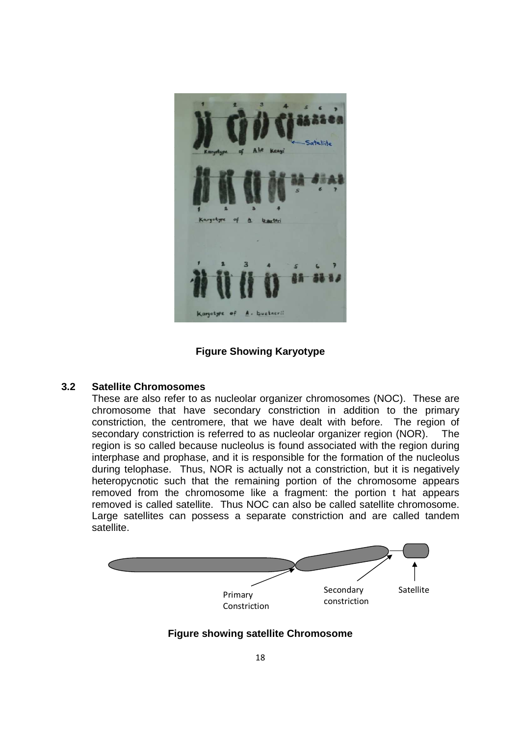

**Figure Showing Karyotype** 

### **3.2 Satellite Chromosomes**

These are also refer to as nucleolar organizer chromosomes (NOC). These are chromosome that have secondary constriction in addition to the primary constriction, the centromere, that we have dealt with before. The region of secondary constriction is referred to as nucleolar organizer region (NOR). The region is so called because nucleolus is found associated with the region during interphase and prophase, and it is responsible for the formation of the nucleolus during telophase. Thus, NOR is actually not a constriction, but it is negatively heteropycnotic such that the remaining portion of the chromosome appears removed from the chromosome like a fragment: the portion t hat appears removed is called satellite. Thus NOC can also be called satellite chromosome. Large satellites can possess a separate constriction and are called tandem satellite.



## **Figure showing satellite Chromosome**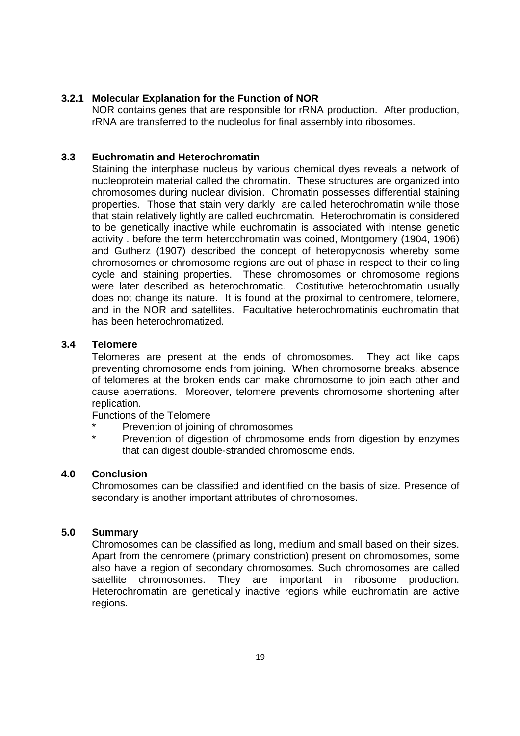### **3.2.1 Molecular Explanation for the Function of NOR**

NOR contains genes that are responsible for rRNA production. After production, rRNA are transferred to the nucleolus for final assembly into ribosomes.

### **3.3 Euchromatin and Heterochromatin**

Staining the interphase nucleus by various chemical dyes reveals a network of nucleoprotein material called the chromatin. These structures are organized into chromosomes during nuclear division. Chromatin possesses differential staining properties. Those that stain very darkly are called heterochromatin while those that stain relatively lightly are called euchromatin. Heterochromatin is considered to be genetically inactive while euchromatin is associated with intense genetic activity . before the term heterochromatin was coined, Montgomery (1904, 1906) and Gutherz (1907) described the concept of heteropycnosis whereby some chromosomes or chromosome regions are out of phase in respect to their coiling cycle and staining properties. These chromosomes or chromosome regions were later described as heterochromatic. Costitutive heterochromatin usually does not change its nature. It is found at the proximal to centromere, telomere, and in the NOR and satellites. Facultative heterochromatinis euchromatin that has been heterochromatized.

### **3.4 Telomere**

Telomeres are present at the ends of chromosomes. They act like caps preventing chromosome ends from joining. When chromosome breaks, absence of telomeres at the broken ends can make chromosome to join each other and cause aberrations. Moreover, telomere prevents chromosome shortening after replication.

Functions of the Telomere

- Prevention of joining of chromosomes
- Prevention of digestion of chromosome ends from digestion by enzymes that can digest double-stranded chromosome ends.

### **4.0 Conclusion**

Chromosomes can be classified and identified on the basis of size. Presence of secondary is another important attributes of chromosomes.

### **5.0 Summary**

Chromosomes can be classified as long, medium and small based on their sizes. Apart from the cenromere (primary constriction) present on chromosomes, some also have a region of secondary chromosomes. Such chromosomes are called satellite chromosomes. They are important in ribosome production. Heterochromatin are genetically inactive regions while euchromatin are active regions.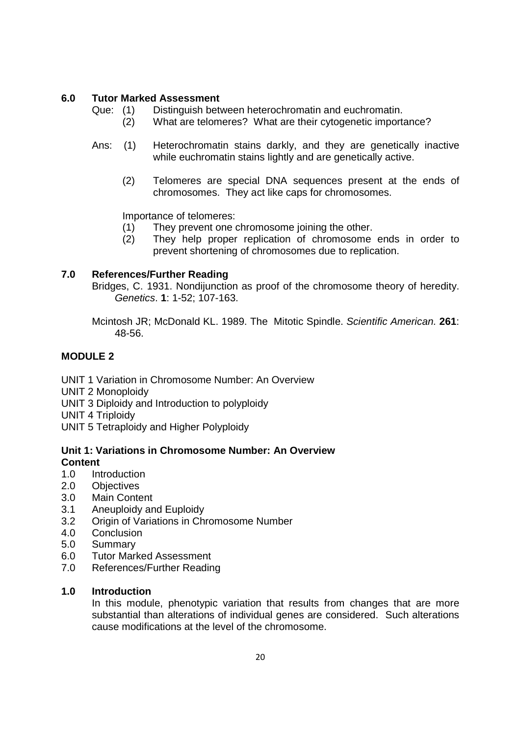### **6.0 Tutor Marked Assessment**

- Que: (1) Distinguish between heterochromatin and euchromatin.
	- (2) What are telomeres? What are their cytogenetic importance?
- Ans: (1) Heterochromatin stains darkly, and they are genetically inactive while euchromatin stains lightly and are genetically active.
	- (2) Telomeres are special DNA sequences present at the ends of chromosomes. They act like caps for chromosomes.

Importance of telomeres:

- (1) They prevent one chromosome joining the other.
- (2) They help proper replication of chromosome ends in order to prevent shortening of chromosomes due to replication.

### **7.0 References/Further Reading**

Bridges, C. 1931. Nondijunction as proof of the chromosome theory of heredity. Genetics. **1**: 1-52; 107-163.

Mcintosh JR; McDonald KL. 1989. The Mitotic Spindle. Scientific American. **261**: 48-56.

## **MODULE 2**

UNIT 1 Variation in Chromosome Number: An Overview

UNIT 2 Monoploidy

UNIT 3 Diploidy and Introduction to polyploidy

UNIT 4 Triploidy

UNIT 5 Tetraploidy and Higher Polyploidy

### **Unit 1: Variations in Chromosome Number: An Overview Content**

- 1.0 Introduction
- 2.0 Objectives
- 3.0 Main Content
- 3.1 Aneuploidy and Euploidy
- 3.2 Origin of Variations in Chromosome Number
- 4.0 Conclusion
- 5.0 Summary
- 6.0 Tutor Marked Assessment
- 7.0 References/Further Reading

### **1.0 Introduction**

In this module, phenotypic variation that results from changes that are more substantial than alterations of individual genes are considered. Such alterations cause modifications at the level of the chromosome.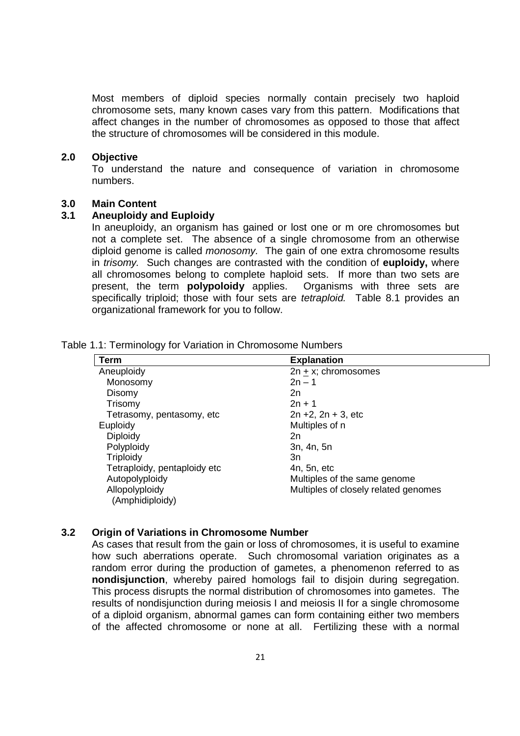Most members of diploid species normally contain precisely two haploid chromosome sets, many known cases vary from this pattern. Modifications that affect changes in the number of chromosomes as opposed to those that affect the structure of chromosomes will be considered in this module.

#### **2.0 Objective**

To understand the nature and consequence of variation in chromosome numbers.

#### **3.0 Main Content**

### **3.1 Aneuploidy and Euploidy**

In aneuploidy, an organism has gained or lost one or m ore chromosomes but not a complete set. The absence of a single chromosome from an otherwise diploid genome is called *monosomy*. The gain of one extra chromosome results in trisomy. Such changes are contrasted with the condition of **euploidy,** where all chromosomes belong to complete haploid sets. If more than two sets are present, the term **polypoloidy** applies. Organisms with three sets are specifically triploid; those with four sets are *tetraploid*. Table 8.1 provides an organizational framework for you to follow.

| Term                              | <b>Explanation</b>                   |
|-----------------------------------|--------------------------------------|
| Aneuploidy                        | $2n + x$ ; chromosomes               |
| Monosomy                          | $2n - 1$                             |
| Disomy                            | 2n                                   |
| Trisomy                           | $2n + 1$                             |
| Tetrasomy, pentasomy, etc         | $2n + 2$ , $2n + 3$ , etc            |
| Euploidy                          | Multiples of n                       |
| Diploidy                          | 2n                                   |
| Polyploidy                        | 3n, 4n, 5n                           |
| Triploidy                         | Зn                                   |
| Tetraploidy, pentaploidy etc      | 4n, 5n, etc                          |
| Autopolyploidy                    | Multiples of the same genome         |
| Allopolyploidy<br>(Amphidiploidy) | Multiples of closely related genomes |

#### Table 1.1: Terminology for Variation in Chromosome Numbers

#### **3.2 Origin of Variations in Chromosome Number**

As cases that result from the gain or loss of chromosomes, it is useful to examine how such aberrations operate. Such chromosomal variation originates as a random error during the production of gametes, a phenomenon referred to as **nondisjunction**, whereby paired homologs fail to disjoin during segregation. This process disrupts the normal distribution of chromosomes into gametes. The results of nondisjunction during meiosis I and meiosis II for a single chromosome of a diploid organism, abnormal games can form containing either two members of the affected chromosome or none at all. Fertilizing these with a normal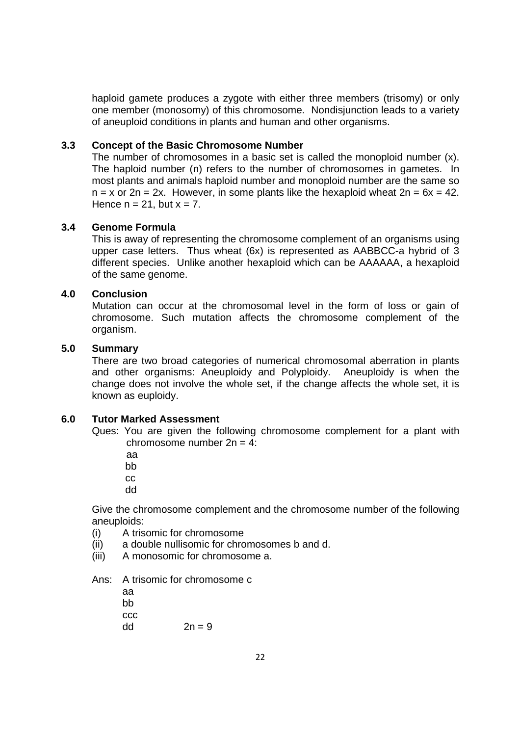haploid gamete produces a zygote with either three members (trisomy) or only one member (monosomy) of this chromosome. Nondisjunction leads to a variety of aneuploid conditions in plants and human and other organisms.

### **3.3 Concept of the Basic Chromosome Number**

The number of chromosomes in a basic set is called the monoploid number (x). The haploid number (n) refers to the number of chromosomes in gametes. In most plants and animals haploid number and monoploid number are the same so  $n = x$  or  $2n = 2x$ . However, in some plants like the hexaploid wheat  $2n = 6x = 42$ . Hence  $n = 21$ , but  $x = 7$ .

### **3.4 Genome Formula**

This is away of representing the chromosome complement of an organisms using upper case letters. Thus wheat (6x) is represented as AABBCC-a hybrid of 3 different species. Unlike another hexaploid which can be AAAAAA, a hexaploid of the same genome.

### **4.0 Conclusion**

Mutation can occur at the chromosomal level in the form of loss or gain of chromosome. Such mutation affects the chromosome complement of the organism.

### **5.0 Summary**

There are two broad categories of numerical chromosomal aberration in plants and other organisms: Aneuploidy and Polyploidy. Aneuploidy is when the change does not involve the whole set, if the change affects the whole set, it is known as euploidy.

### **6.0 Tutor Marked Assessment**

Ques: You are given the following chromosome complement for a plant with chromosome number  $2n = 4$ :

aa

bb

cc

dd

Give the chromosome complement and the chromosome number of the following aneuploids:

- (i) A trisomic for chromosome
- (ii) a double nullisomic for chromosomes b and d.
- (iii) A monosomic for chromosome a.

Ans: A trisomic for chromosome c

 aa bb ccc  $dd$   $2n = 9$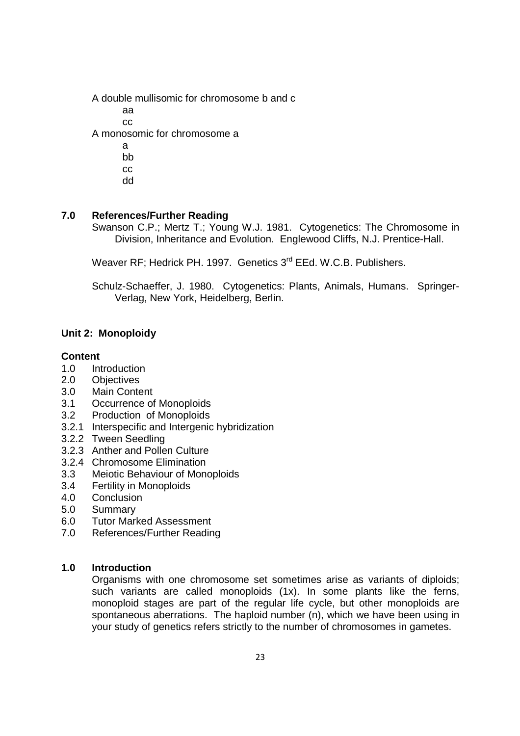A double mullisomic for chromosome b and c aa cc A monosomic for chromosome a a bb cc

dd

### **7.0 References/Further Reading**

Swanson C.P.; Mertz T.; Young W.J. 1981. Cytogenetics: The Chromosome in Division, Inheritance and Evolution. Englewood Cliffs, N.J. Prentice-Hall.

Weaver RF: Hedrick PH. 1997. Genetics 3<sup>rd</sup> EEd. W.C.B. Publishers.

Schulz-Schaeffer, J. 1980. Cytogenetics: Plants, Animals, Humans. Springer-Verlag, New York, Heidelberg, Berlin.

## **Unit 2: Monoploidy**

#### **Content**

- 1.0 Introduction
- 2.0 Objectives
- 3.0 Main Content
- 3.1 Occurrence of Monoploids
- 3.2 Production of Monoploids
- 3.2.1 Interspecific and Intergenic hybridization
- 3.2.2 Tween Seedling
- 3.2.3 Anther and Pollen Culture
- 3.2.4 Chromosome Elimination
- 3.3 Meiotic Behaviour of Monoploids
- 3.4 Fertility in Monoploids
- 4.0 Conclusion
- 5.0 Summary
- 6.0 Tutor Marked Assessment
- 7.0 References/Further Reading

#### **1.0 Introduction**

Organisms with one chromosome set sometimes arise as variants of diploids; such variants are called monoploids (1x). In some plants like the ferns, monoploid stages are part of the regular life cycle, but other monoploids are spontaneous aberrations. The haploid number (n), which we have been using in your study of genetics refers strictly to the number of chromosomes in gametes.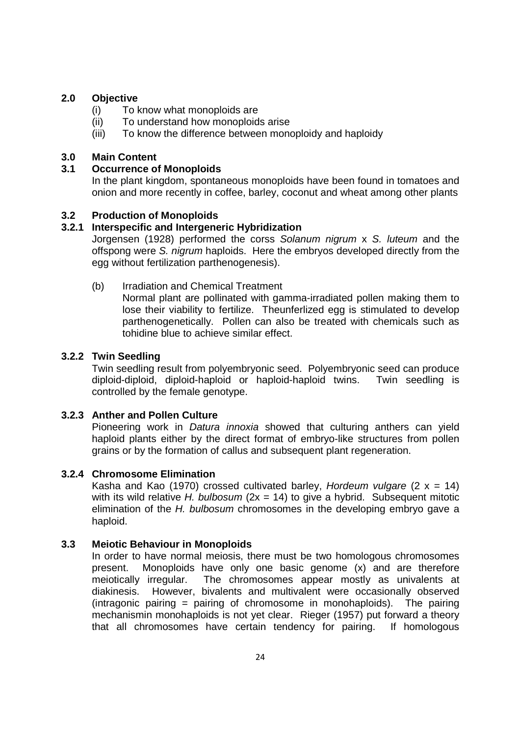### **2.0 Objective**

- (i) To know what monoploids are
- (ii) To understand how monoploids arise
- (iii) To know the difference between monoploidy and haploidy

### **3.0 Main Content**

### **3.1 Occurrence of Monoploids**

In the plant kingdom, spontaneous monoploids have been found in tomatoes and onion and more recently in coffee, barley, coconut and wheat among other plants

### **3.2 Production of Monoploids**

### **3.2.1 Interspecific and Intergeneric Hybridization**

Jorgensen (1928) performed the corss Solanum nigrum x S. luteum and the offspong were S. nigrum haploids. Here the embryos developed directly from the egg without fertilization parthenogenesis).

(b) Irradiation and Chemical Treatment

Normal plant are pollinated with gamma-irradiated pollen making them to lose their viability to fertilize. Theunferlized egg is stimulated to develop parthenogenetically. Pollen can also be treated with chemicals such as tohidine blue to achieve similar effect.

### **3.2.2 Twin Seedling**

Twin seedling result from polyembryonic seed. Polyembryonic seed can produce diploid-diploid, diploid-haploid or haploid-haploid twins. Twin seedling is controlled by the female genotype.

### **3.2.3 Anther and Pollen Culture**

Pioneering work in *Datura innoxia* showed that culturing anthers can yield haploid plants either by the direct format of embryo-like structures from pollen grains or by the formation of callus and subsequent plant regeneration.

## **3.2.4 Chromosome Elimination**

Kasha and Kao (1970) crossed cultivated barley, Hordeum vulgare (2  $x = 14$ ) with its wild relative H. bulbosum ( $2x = 14$ ) to give a hybrid. Subsequent mitotic elimination of the  $H$ . bulbosum chromosomes in the developing embryo gave a haploid.

## **3.3 Meiotic Behaviour in Monoploids**

In order to have normal meiosis, there must be two homologous chromosomes present. Monoploids have only one basic genome (x) and are therefore meiotically irregular. The chromosomes appear mostly as univalents at diakinesis. However, bivalents and multivalent were occasionally observed (intragonic pairing  $=$  pairing of chromosome in monohaploids). The pairing mechanismin monohaploids is not yet clear. Rieger (1957) put forward a theory that all chromosomes have certain tendency for pairing. If homologous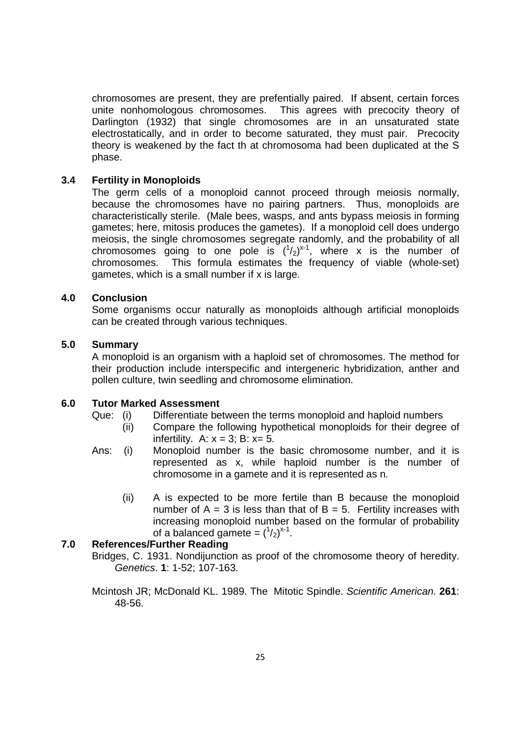chromosomes are present, they are prefentially paired. If absent, certain forces unite nonhomologous chromosomes. This agrees with precocity theory of Darlington (1932) that single chromosomes are in an unsaturated state electrostatically, and in order to become saturated, they must pair. Precocity theory is weakened by the fact th at chromosoma had been duplicated at the S phase.

#### **3.4 Fertility in Monoploids**

The germ cells of a monoploid cannot proceed through meiosis normally, because the chromosomes have no pairing partners. Thus, monoploids are characteristically sterile. (Male bees, wasps, and ants bypass meiosis in forming gametes; here, mitosis produces the gametes). If a monoploid cell does undergo meiosis, the single chromosomes segregate randomly, and the probability of all chromosomes going to one pole is  $(^{1}/_{2})^{x-1}$ , where x is the number of chromosomes. This formula estimates the frequency of viable (whole-set) gametes, which is a small number if x is large.

#### **4.0 Conclusion**

Some organisms occur naturally as monoploids although artificial monoploids can be created through various techniques.

#### **5.0 Summary**

A monoploid is an organism with a haploid set of chromosomes. The method for their production include interspecific and intergeneric hybridization, anther and pollen culture, twin seedling and chromosome elimination.

### **6.0 Tutor Marked Assessment**

- Que: (i) Differentiate between the terms monoploid and haploid numbers
	- (ii) Compare the following hypothetical monoploids for their degree of infertility. A:  $x = 3$ ; B:  $x = 5$ .
- Ans: (i) Monoploid number is the basic chromosome number, and it is represented as x, while haploid number is the number of chromosome in a gamete and it is represented as n.
	- (ii) A is expected to be more fertile than B because the monoploid number of  $A = 3$  is less than that of  $B = 5$ . Fertility increases with increasing monoploid number based on the formular of probability of a balanced gamete =  $({}^1/2)^{x-1}$ .

### **7.0 References/Further Reading**

Bridges, C. 1931. Nondijunction as proof of the chromosome theory of heredity. Genetics. **1**: 1-52; 107-163.

Mcintosh JR; McDonald KL. 1989. The Mitotic Spindle. Scientific American. **261**: 48-56.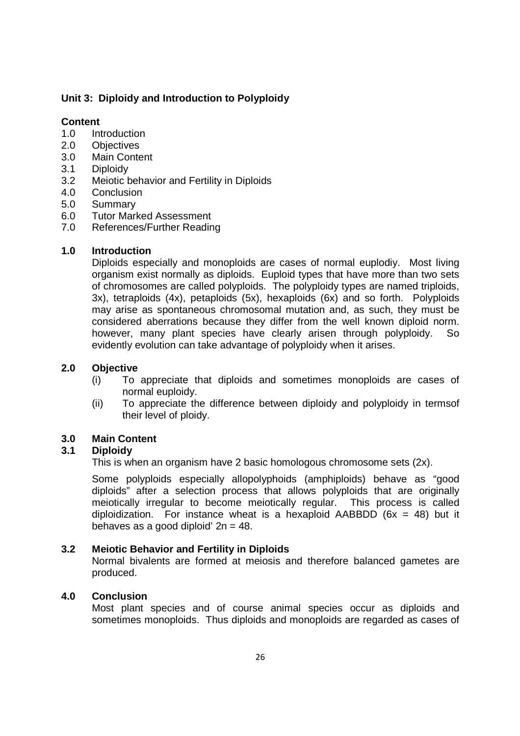## **Unit 3: Diploidy and Introduction to Polyploidy**

## **Content**

- 1.0 Introduction
- 2.0 Objectives
- 3.0 Main Content
- 3.1 Diploidy
- 3.2 Meiotic behavior and Fertility in Diploids
- 4.0 Conclusion
- 5.0 Summary
- 6.0 Tutor Marked Assessment
- 7.0 References/Further Reading

## **1.0 Introduction**

Diploids especially and monoploids are cases of normal euplodiy. Most living organism exist normally as diploids. Euploid types that have more than two sets of chromosomes are called polyploids. The polyploidy types are named triploids, 3x), tetraploids (4x), petaploids (5x), hexaploids (6x) and so forth. Polyploids may arise as spontaneous chromosomal mutation and, as such, they must be considered aberrations because they differ from the well known diploid norm. however, many plant species have clearly arisen through polyploidy. So evidently evolution can take advantage of polyploidy when it arises.

## **2.0 Objective**

- (i) To appreciate that diploids and sometimes monoploids are cases of normal euploidy.
- (ii) To appreciate the difference between diploidy and polyploidy in termsof their level of ploidy.

## **3.0 Main Content**

## **3.1 Diploidy**

This is when an organism have 2 basic homologous chromosome sets (2x).

Some polyploids especially allopolyphoids (amphiploids) behave as "good diploids" after a selection process that allows polyploids that are originally meiotically irregular to become meiotically regular. This process is called diploidization. For instance wheat is a hexaploid AABBDD ( $6x = 48$ ) but it behaves as a good diploid'  $2n = 48$ .

## **3.2 Meiotic Behavior and Fertility in Diploids**

Normal bivalents are formed at meiosis and therefore balanced gametes are produced.

## **4.0 Conclusion**

Most plant species and of course animal species occur as diploids and sometimes monoploids. Thus diploids and monoploids are regarded as cases of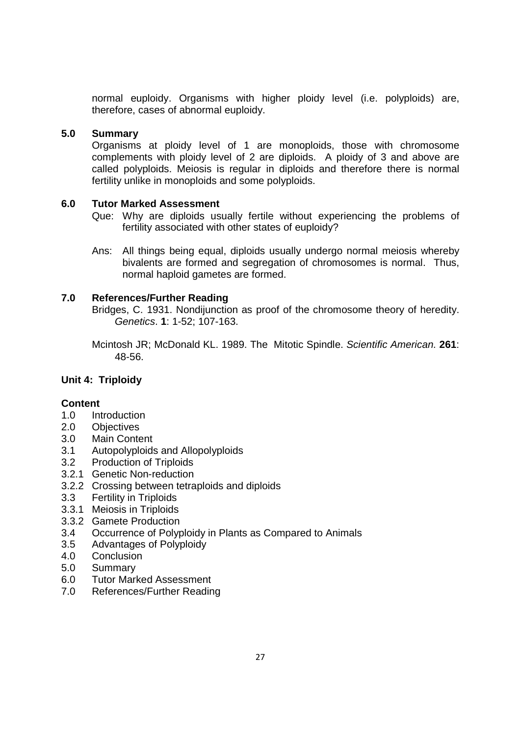normal euploidy. Organisms with higher ploidy level (i.e. polyploids) are, therefore, cases of abnormal euploidy.

### **5.0 Summary**

Organisms at ploidy level of 1 are monoploids, those with chromosome complements with ploidy level of 2 are diploids. A ploidy of 3 and above are called polyploids. Meiosis is regular in diploids and therefore there is normal fertility unlike in monoploids and some polyploids.

### **6.0 Tutor Marked Assessment**

- Que: Why are diploids usually fertile without experiencing the problems of fertility associated with other states of euploidy?
- Ans: All things being equal, diploids usually undergo normal meiosis whereby bivalents are formed and segregation of chromosomes is normal. Thus, normal haploid gametes are formed.

### **7.0 References/Further Reading**

Bridges, C. 1931. Nondijunction as proof of the chromosome theory of heredity. Genetics. **1**: 1-52; 107-163.

Mcintosh JR; McDonald KL. 1989. The Mitotic Spindle. Scientific American. **261**: 48-56.

## **Unit 4: Triploidy**

## **Content**

- 1.0 Introduction
- 2.0 Objectives
- 3.0 Main Content
- 3.1 Autopolyploids and Allopolyploids
- 3.2 Production of Triploids
- 3.2.1 Genetic Non-reduction
- 3.2.2 Crossing between tetraploids and diploids
- 3.3 Fertility in Triploids
- 3.3.1 Meiosis in Triploids
- 3.3.2 Gamete Production
- 3.4 Occurrence of Polyploidy in Plants as Compared to Animals
- 3.5 Advantages of Polyploidy
- **Conclusion**
- 5.0 Summary
- 6.0 Tutor Marked Assessment
- 7.0 References/Further Reading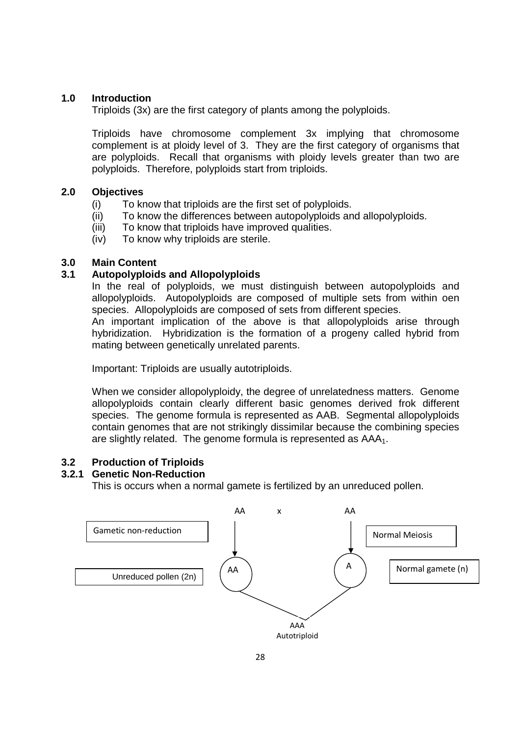### **1.0 Introduction**

Triploids (3x) are the first category of plants among the polyploids.

Triploids have chromosome complement 3x implying that chromosome complement is at ploidy level of 3. They are the first category of organisms that are polyploids. Recall that organisms with ploidy levels greater than two are polyploids. Therefore, polyploids start from triploids.

### **2.0 Objectives**

- (i) To know that triploids are the first set of polyploids.
- (ii) To know the differences between autopolyploids and allopolyploids.
- (iii) To know that triploids have improved qualities.
- (iv) To know why triploids are sterile.

### **3.0 Main Content**

### **3.1 Autopolyploids and Allopolyploids**

In the real of polyploids, we must distinguish between autopolyploids and allopolyploids. Autopolyploids are composed of multiple sets from within oen species. Allopolyploids are composed of sets from different species.

An important implication of the above is that allopolyploids arise through hybridization. Hybridization is the formation of a progeny called hybrid from mating between genetically unrelated parents.

Important: Triploids are usually autotriploids.

When we consider allopolyploidy, the degree of unrelatedness matters. Genome allopolyploids contain clearly different basic genomes derived frok different species. The genome formula is represented as AAB. Segmental allopolyploids contain genomes that are not strikingly dissimilar because the combining species are slightly related. The genome formula is represented as AAA<sub>1</sub>.

## **3.2 Production of Triploids**

### **3.2.1 Genetic Non-Reduction**

This is occurs when a normal gamete is fertilized by an unreduced pollen.

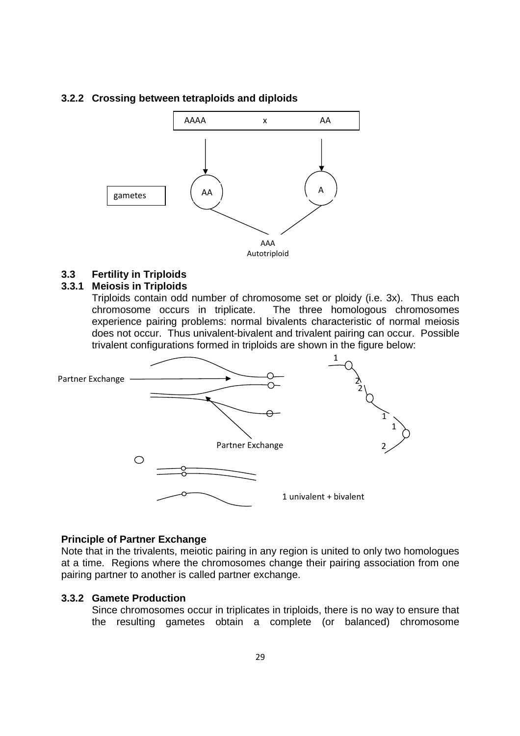#### **3.2.2 Crossing between tetraploids and diploids**



## **3.3 Fertility in Triploids**

### **3.3.1 Meiosis in Triploids**

Triploids contain odd number of chromosome set or ploidy (i.e. 3x). Thus each chromosome occurs in triplicate. The three homologous chromosomes experience pairing problems: normal bivalents characteristic of normal meiosis does not occur. Thus univalent-bivalent and trivalent pairing can occur. Possible trivalent configurations formed in triploids are shown in the figure below:



### **Principle of Partner Exchange**

Note that in the trivalents, meiotic pairing in any region is united to only two homologues at a time. Regions where the chromosomes change their pairing association from one pairing partner to another is called partner exchange.

### **3.3.2 Gamete Production**

Since chromosomes occur in triplicates in triploids, there is no way to ensure that the resulting gametes obtain a complete (or balanced) chromosome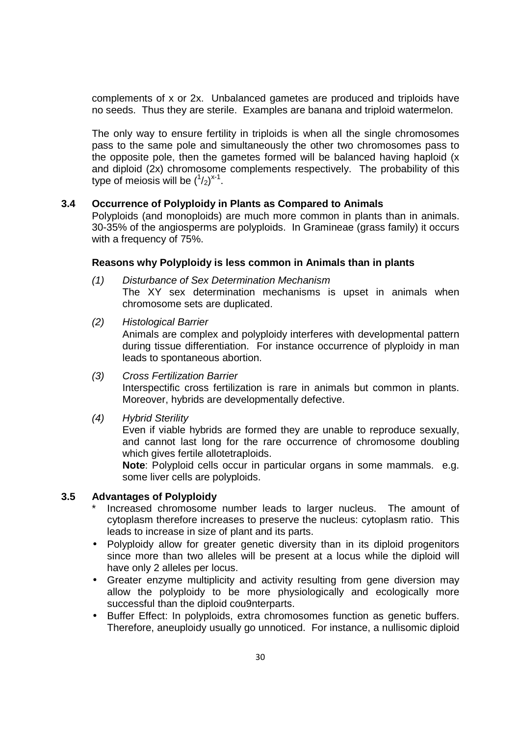complements of x or 2x. Unbalanced gametes are produced and triploids have no seeds. Thus they are sterile. Examples are banana and triploid watermelon.

The only way to ensure fertility in triploids is when all the single chromosomes pass to the same pole and simultaneously the other two chromosomes pass to the opposite pole, then the gametes formed will be balanced having haploid (x and diploid (2x) chromosome complements respectively. The probability of this type of meiosis will be  $({}^1/2)^{x-1}$ .

### **3.4 Occurrence of Polyploidy in Plants as Compared to Animals**

Polyploids (and monoploids) are much more common in plants than in animals. 30-35% of the angiosperms are polyploids. In Gramineae (grass family) it occurs with a frequency of 75%.

#### **Reasons why Polyploidy is less common in Animals than in plants**

- (1) Disturbance of Sex Determination Mechanism The XY sex determination mechanisms is upset in animals when chromosome sets are duplicated.
- (2) Histological Barrier

Animals are complex and polyploidy interferes with developmental pattern during tissue differentiation. For instance occurrence of plyploidy in man leads to spontaneous abortion.

- (3) Cross Fertilization Barrier Interspectific cross fertilization is rare in animals but common in plants. Moreover, hybrids are developmentally defective.
- (4) Hybrid Sterility

Even if viable hybrids are formed they are unable to reproduce sexually, and cannot last long for the rare occurrence of chromosome doubling which gives fertile allotetraploids.

**Note**: Polyploid cells occur in particular organs in some mammals. e.g. some liver cells are polyploids.

### **3.5 Advantages of Polyploidy**

- Increased chromosome number leads to larger nucleus. The amount of cytoplasm therefore increases to preserve the nucleus: cytoplasm ratio. This leads to increase in size of plant and its parts.
- Polyploidy allow for greater genetic diversity than in its diploid progenitors since more than two alleles will be present at a locus while the diploid will have only 2 alleles per locus.
- Greater enzyme multiplicity and activity resulting from gene diversion may allow the polyploidy to be more physiologically and ecologically more successful than the diploid cou9nterparts.
- Buffer Effect: In polyploids, extra chromosomes function as genetic buffers. Therefore, aneuploidy usually go unnoticed. For instance, a nullisomic diploid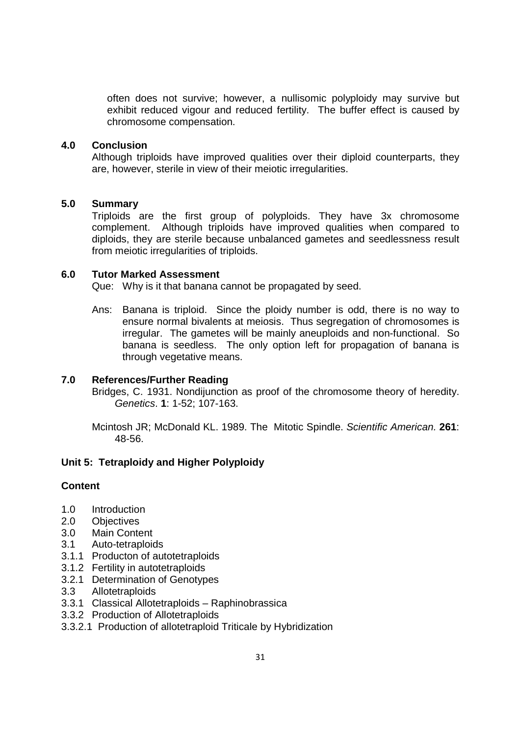often does not survive; however, a nullisomic polyploidy may survive but exhibit reduced vigour and reduced fertility. The buffer effect is caused by chromosome compensation.

### **4.0 Conclusion**

Although triploids have improved qualities over their diploid counterparts, they are, however, sterile in view of their meiotic irregularities.

#### **5.0 Summary**

Triploids are the first group of polyploids. They have 3x chromosome complement. Although triploids have improved qualities when compared to diploids, they are sterile because unbalanced gametes and seedlessness result from meiotic irregularities of triploids.

#### **6.0 Tutor Marked Assessment**

Que: Why is it that banana cannot be propagated by seed.

Ans: Banana is triploid. Since the ploidy number is odd, there is no way to ensure normal bivalents at meiosis. Thus segregation of chromosomes is irregular. The gametes will be mainly aneuploids and non-functional. So banana is seedless. The only option left for propagation of banana is through vegetative means.

### **7.0 References/Further Reading**

Bridges, C. 1931. Nondijunction as proof of the chromosome theory of heredity. Genetics. **1**: 1-52; 107-163.

Mcintosh JR; McDonald KL. 1989. The Mitotic Spindle. Scientific American. **261**: 48-56.

#### **Unit 5: Tetraploidy and Higher Polyploidy**

#### **Content**

- 1.0 Introduction
- 2.0 Objectives
- 3.0 Main Content
- 3.1 Auto-tetraploids
- 3.1.1 Producton of autotetraploids
- 3.1.2 Fertility in autotetraploids
- 3.2.1 Determination of Genotypes
- 3.3 Allotetraploids
- 3.3.1 Classical Allotetraploids Raphinobrassica
- 3.3.2 Production of Allotetraploids
- 3.3.2.1 Production of allotetraploid Triticale by Hybridization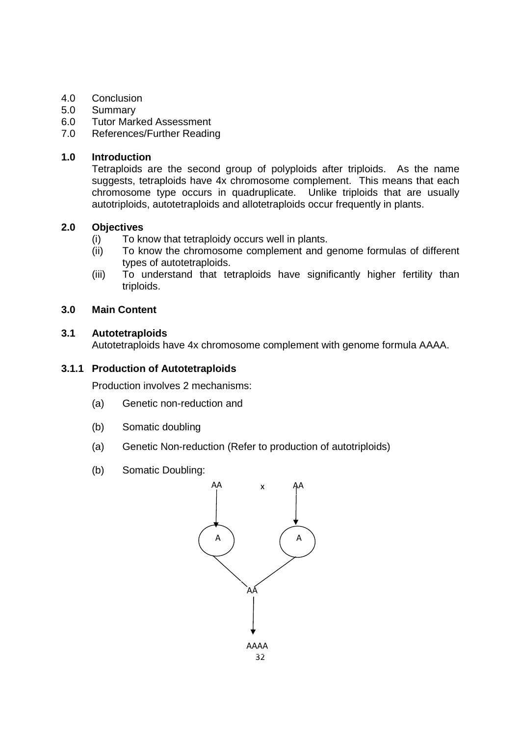## 4.0 Conclusion

- 5.0 Summary
- 6.0 Tutor Marked Assessment
- 7.0 References/Further Reading

### **1.0 Introduction**

Tetraploids are the second group of polyploids after triploids. As the name suggests, tetraploids have 4x chromosome complement. This means that each chromosome type occurs in quadruplicate. Unlike triploids that are usually autotriploids, autotetraploids and allotetraploids occur frequently in plants.

## **2.0 Objectives**

- (i) To know that tetraploidy occurs well in plants.
- (ii) To know the chromosome complement and genome formulas of different types of autotetraploids.
- (iii) To understand that tetraploids have significantly higher fertility than triploids.

### **3.0 Main Content**

### **3.1 Autotetraploids**

Autotetraploids have 4x chromosome complement with genome formula AAAA.

### **3.1.1 Production of Autotetraploids**

Production involves 2 mechanisms:

- (a) Genetic non-reduction and
- (b) Somatic doubling
- (a) Genetic Non-reduction (Refer to production of autotriploids)
- (b) Somatic Doubling:

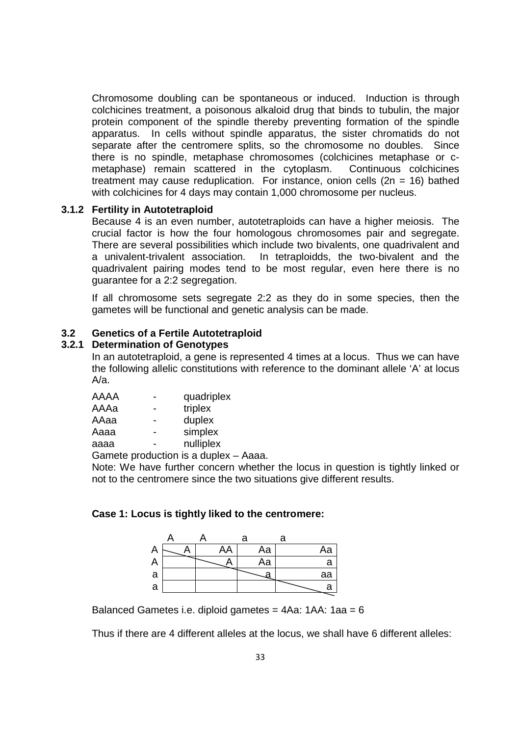Chromosome doubling can be spontaneous or induced. Induction is through colchicines treatment, a poisonous alkaloid drug that binds to tubulin, the major protein component of the spindle thereby preventing formation of the spindle apparatus. In cells without spindle apparatus, the sister chromatids do not separate after the centromere splits, so the chromosome no doubles. Since there is no spindle, metaphase chromosomes (colchicines metaphase or cmetaphase) remain scattered in the cytoplasm. Continuous colchicines treatment may cause reduplication. For instance, onion cells  $(2n = 16)$  bathed with colchicines for 4 days may contain 1,000 chromosome per nucleus.

### **3.1.2 Fertility in Autotetraploid**

Because 4 is an even number, autotetraploids can have a higher meiosis. The crucial factor is how the four homologous chromosomes pair and segregate. There are several possibilities which include two bivalents, one quadrivalent and a univalent-trivalent association. In tetraploidds, the two-bivalent and the quadrivalent pairing modes tend to be most regular, even here there is no guarantee for a 2:2 segregation.

If all chromosome sets segregate 2:2 as they do in some species, then the gametes will be functional and genetic analysis can be made.

### **3.2 Genetics of a Fertile Autotetraploid**

#### **3.2.1 Determination of Genotypes**

In an autotetraploid, a gene is represented 4 times at a locus. Thus we can have the following allelic constitutions with reference to the dominant allele 'A' at locus  $A/a$ 

| AAAA |                                | quadriplex |  |  |
|------|--------------------------------|------------|--|--|
| AAAa |                                | triplex    |  |  |
| AAaa |                                | duplex     |  |  |
| Aaaa |                                | simplex    |  |  |
| aaaa |                                | nulliplex  |  |  |
|      | Comete nueditation le editorie |            |  |  |

Gamete production is a duplex – Aaaa.

Note: We have further concern whether the locus in question is tightly linked or not to the centromere since the two situations give different results.

#### **Case 1: Locus is tightly liked to the centromere:**

| <u>n</u> | AA | Aa | Aa |
|----------|----|----|----|
| <i>r</i> |    | Aa | a  |
| a        |    |    | aa |
| а        |    |    | a  |

Balanced Gametes i.e. diploid gametes = 4Aa: 1AA: 1aa = 6

Thus if there are 4 different alleles at the locus, we shall have 6 different alleles: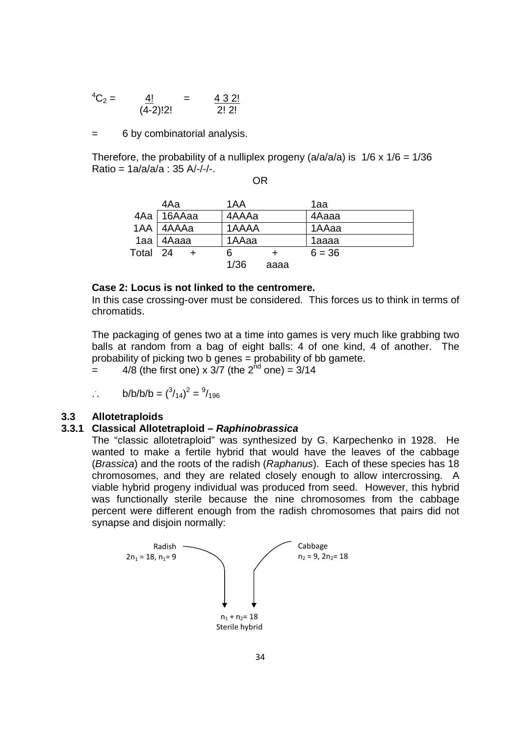$$
{}^4C_2 = \frac{4!}{(4-2)!2!} = \frac{4 \cdot 3 \cdot 2!}{2! \cdot 2!}
$$

= 6 by combinatorial analysis.

Therefore, the probability of a nulliplex progeny ( $a/a/a/a$ ) is  $1/6 \times 1/6 = 1/36$  $Ratio = 1a/a/a/a : 35 A/-/-.$ OR

|          | 4Aa          | 1AA          | 1aa      |
|----------|--------------|--------------|----------|
|          | 4Aa   16AAaa | 4AAAa        | 4Aaaa    |
|          | 1AA   4AAAa  | 1AAAA        | 1AAaa    |
|          | $1aa$ 4 Aaaa | 1AAaa        | 1aaaa    |
| Total 24 |              | 6<br>$+$     | $6 = 36$ |
|          |              | 1/36<br>aaaa |          |

#### **Case 2: Locus is not linked to the centromere.**

In this case crossing-over must be considered. This forces us to think in terms of chromatids.

The packaging of genes two at a time into games is very much like grabbing two balls at random from a bag of eight balls: 4 of one kind, 4 of another. The probability of picking two b genes = probability of bb gamete.

 $=$  4/8 (the first one) x 3/7 (the  $2<sup>nd</sup>$  one) = 3/14

$$
\therefore \qquad b/b/b/b = \binom{3}{14}^2 = \frac{9}{196}
$$

### **3.3 Allotetraploids**

#### **3.3.1 Classical Allotetraploid – Raphinobrassica**

The "classic allotetraploid" was synthesized by G. Karpechenko in 1928. He wanted to make a fertile hybrid that would have the leaves of the cabbage (Brassica) and the roots of the radish (Raphanus). Each of these species has 18 chromosomes, and they are related closely enough to allow intercrossing. A viable hybrid progeny individual was produced from seed. However, this hybrid was functionally sterile because the nine chromosomes from the cabbage percent were different enough from the radish chromosomes that pairs did not synapse and disjoin normally:

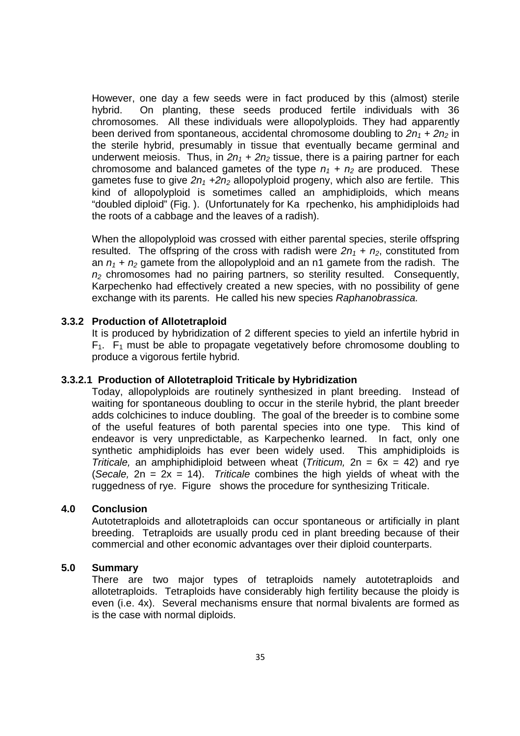However, one day a few seeds were in fact produced by this (almost) sterile hybrid. On planting, these seeds produced fertile individuals with 36 chromosomes. All these individuals were allopolyploids. They had apparently been derived from spontaneous, accidental chromosome doubling to  $2n_1 + 2n_2$  in the sterile hybrid, presumably in tissue that eventually became germinal and underwent meiosis. Thus, in  $2n_1 + 2n_2$  tissue, there is a pairing partner for each chromosome and balanced gametes of the type  $n_1 + n_2$  are produced. These gametes fuse to give  $2n_1 + 2n_2$  allopolyploid progeny, which also are fertile. This kind of allopolyploid is sometimes called an amphidiploids, which means "doubled diploid" (Fig. ). (Unfortunately for Ka rpechenko, his amphidiploids had the roots of a cabbage and the leaves of a radish).

When the allopolyploid was crossed with either parental species, sterile offspring resulted. The offspring of the cross with radish were  $2n_1 + n_2$ , constituted from an  $n_1 + n_2$  gamete from the allopolyploid and an n1 gamete from the radish. The  $n<sub>2</sub>$  chromosomes had no pairing partners, so sterility resulted. Consequently, Karpechenko had effectively created a new species, with no possibility of gene exchange with its parents. He called his new species Raphanobrassica.

#### **3.3.2 Production of Allotetraploid**

It is produced by hybridization of 2 different species to yield an infertile hybrid in  $F_1$ .  $F_1$  must be able to propagate vegetatively before chromosome doubling to produce a vigorous fertile hybrid.

#### **3.3.2.1 Production of Allotetraploid Triticale by Hybridization**

Today, allopolyploids are routinely synthesized in plant breeding. Instead of waiting for spontaneous doubling to occur in the sterile hybrid, the plant breeder adds colchicines to induce doubling. The goal of the breeder is to combine some of the useful features of both parental species into one type. This kind of endeavor is very unpredictable, as Karpechenko learned. In fact, only one synthetic amphidiploids has ever been widely used. This amphidiploids is Triticale, an amphiphidiploid between wheat (Triticum,  $2n = 6x = 42$ ) and rye (Secale,  $2n = 2x = 14$ ). Triticale combines the high yields of wheat with the ruggedness of rye. Figure shows the procedure for synthesizing Triticale.

### **4.0 Conclusion**

Autotetraploids and allotetraploids can occur spontaneous or artificially in plant breeding. Tetraploids are usually produ ced in plant breeding because of their commercial and other economic advantages over their diploid counterparts.

### **5.0 Summary**

There are two major types of tetraploids namely autotetraploids and allotetraploids. Tetraploids have considerably high fertility because the ploidy is even (i.e. 4x). Several mechanisms ensure that normal bivalents are formed as is the case with normal diploids.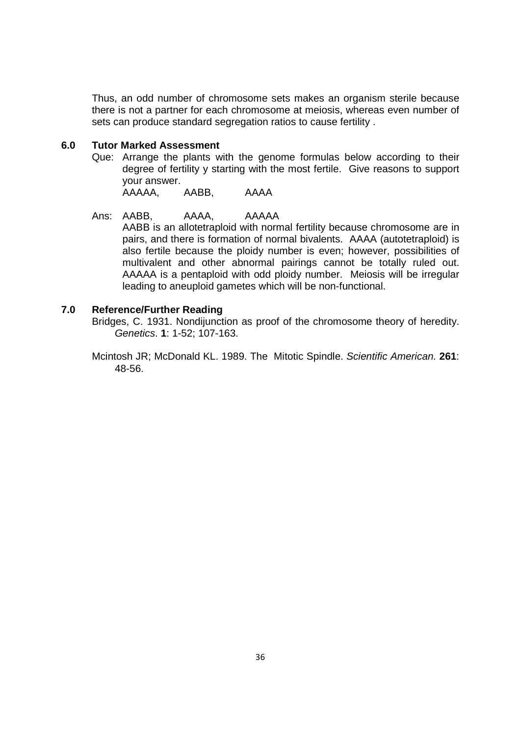Thus, an odd number of chromosome sets makes an organism sterile because there is not a partner for each chromosome at meiosis, whereas even number of sets can produce standard segregation ratios to cause fertility .

#### **6.0 Tutor Marked Assessment**

Que: Arrange the plants with the genome formulas below according to their degree of fertility y starting with the most fertile. Give reasons to support your answer.

AAAAA, AABB, AAAA

### Ans: AABB, AAAA, AAAAA

AABB is an allotetraploid with normal fertility because chromosome are in pairs, and there is formation of normal bivalents. AAAA (autotetraploid) is also fertile because the ploidy number is even; however, possibilities of multivalent and other abnormal pairings cannot be totally ruled out. AAAAA is a pentaploid with odd ploidy number. Meiosis will be irregular leading to aneuploid gametes which will be non-functional.

### **7.0 Reference/Further Reading**

Bridges, C. 1931. Nondijunction as proof of the chromosome theory of heredity. Genetics. **1**: 1-52; 107-163.

Mcintosh JR; McDonald KL. 1989. The Mitotic Spindle. Scientific American. **261**: 48-56.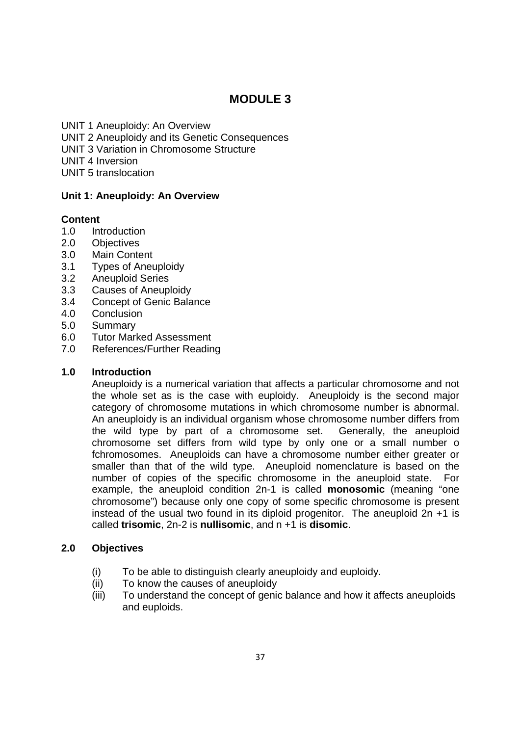# **MODULE 3**

UNIT 1 Aneuploidy: An Overview UNIT 2 Aneuploidy and its Genetic Consequences UNIT 3 Variation in Chromosome Structure UNIT 4 Inversion UNIT 5 translocation

## **Unit 1: Aneuploidy: An Overview**

## **Content**

- 1.0 Introduction
- 2.0 Objectives
- 3.0 Main Content
- 3.1 Types of Aneuploidy
- 3.2 Aneuploid Series
- 3.3 Causes of Aneuploidy
- 3.4 Concept of Genic Balance
- 4.0 Conclusion
- 5.0 Summary
- 6.0 Tutor Marked Assessment
- 7.0 References/Further Reading

### **1.0 Introduction**

Aneuploidy is a numerical variation that affects a particular chromosome and not the whole set as is the case with euploidy. Aneuploidy is the second major category of chromosome mutations in which chromosome number is abnormal. An aneuploidy is an individual organism whose chromosome number differs from the wild type by part of a chromosome set. Generally, the aneuploid chromosome set differs from wild type by only one or a small number o fchromosomes. Aneuploids can have a chromosome number either greater or smaller than that of the wild type. Aneuploid nomenclature is based on the number of copies of the specific chromosome in the aneuploid state. For example, the aneuploid condition 2n-1 is called **monosomic** (meaning "one chromosome") because only one copy of some specific chromosome is present instead of the usual two found in its diploid progenitor. The aneuploid 2n +1 is called **trisomic**, 2n-2 is **nullisomic**, and n +1 is **disomic**.

## **2.0 Objectives**

- (i) To be able to distinguish clearly aneuploidy and euploidy.
- (ii) To know the causes of aneuploidy
- (iii) To understand the concept of genic balance and how it affects aneuploids and euploids.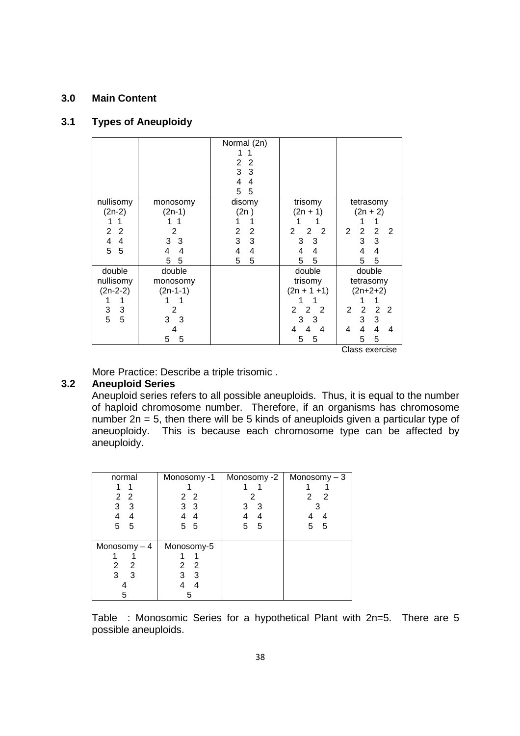## **3.0 Main Content**

### **3.1 Types of Aneuploidy**

|                              |                | Normal (2n)<br>$\overline{2}$<br>$\overline{2}$<br>3<br>$\mathbf{3}$<br>4<br>4<br>5<br>5 |                                                    |                                            |
|------------------------------|----------------|------------------------------------------------------------------------------------------|----------------------------------------------------|--------------------------------------------|
| nullisomy                    | monosomy       | disomy                                                                                   | trisomy                                            | tetrasomy                                  |
| $(2n-2)$                     | $(2n-1)$       | (2n)                                                                                     | $(2n + 1)$                                         | $(2n + 2)$                                 |
| 1                            |                |                                                                                          |                                                    | 1                                          |
| 2<br>2                       | $\mathfrak{p}$ | 2<br>2                                                                                   | $\overline{2}$<br>$\overline{2}$<br>$\overline{2}$ | 2<br>2<br>2<br>2                           |
| $\overline{\mathbf{4}}$<br>4 | 3<br>3         | 3<br>3                                                                                   | 3<br>3                                             | 3<br>3                                     |
| 5<br>5                       | 4<br>4         | 4<br>4                                                                                   | 4<br>4                                             | 4<br>4                                     |
|                              | 5<br>5         | 5<br>5                                                                                   | 5<br>5                                             | 5<br>5                                     |
| double                       | double         |                                                                                          | double                                             | double                                     |
| nullisomy                    | monosomy       |                                                                                          | trisomy                                            | tetrasomy                                  |
| $(2n-2-2)$                   | $(2n-1-1)$     |                                                                                          | $(2n + 1 + 1)$                                     | $(2n+2+2)$                                 |
|                              |                |                                                                                          |                                                    |                                            |
| 3<br>3                       | $\overline{2}$ |                                                                                          | $\overline{2}$<br>$\overline{2}$<br>2              | $\overline{2}$<br>$\overline{2}$<br>2<br>2 |
| 5<br>5                       | 3<br>3         |                                                                                          | 3<br>3                                             | 3<br>3                                     |
|                              | 4              |                                                                                          | 4<br>4<br>4                                        | $\overline{\mathbf{4}}$<br>4<br>4<br>4     |
|                              | 5<br>5         |                                                                                          | 5<br>5                                             | 5<br>5                                     |
| Class exercise               |                |                                                                                          |                                                    |                                            |

More Practice: Describe a triple trisomic .

### **3.2 Aneuploid Series**

Aneuploid series refers to all possible aneuploids. Thus, it is equal to the number of haploid chromosome number. Therefore, if an organisms has chromosome number 2n = 5, then there will be 5 kinds of aneuploids given a particular type of aneuoploidy. This is because each chromosome type can be affected by aneuploidy.

| normal            | Monosomy -1                                        | Monosomy -2 | Monosomy $-3$ |
|-------------------|----------------------------------------------------|-------------|---------------|
|                   |                                                    |             |               |
| $\mathbf{2}$<br>2 | 22                                                 | 2           | 2<br>2        |
| 3<br>3            | 3 <sub>3</sub>                                     | 3<br>3      |               |
|                   |                                                    | 4           |               |
| 5<br>5            | 5<br>5                                             | 5<br>5      | 5<br>5        |
|                   |                                                    |             |               |
| Monosomy $-4$     | Monosomy-5                                         |             |               |
|                   |                                                    |             |               |
| 2<br>2            | $\overline{\phantom{0}}^2$<br>$\mathbf{2}^{\circ}$ |             |               |
| 3<br>3            | 3<br>3                                             |             |               |
|                   | 4                                                  |             |               |
|                   | 5                                                  |             |               |

Table : Monosomic Series for a hypothetical Plant with 2n=5. There are 5 possible aneuploids.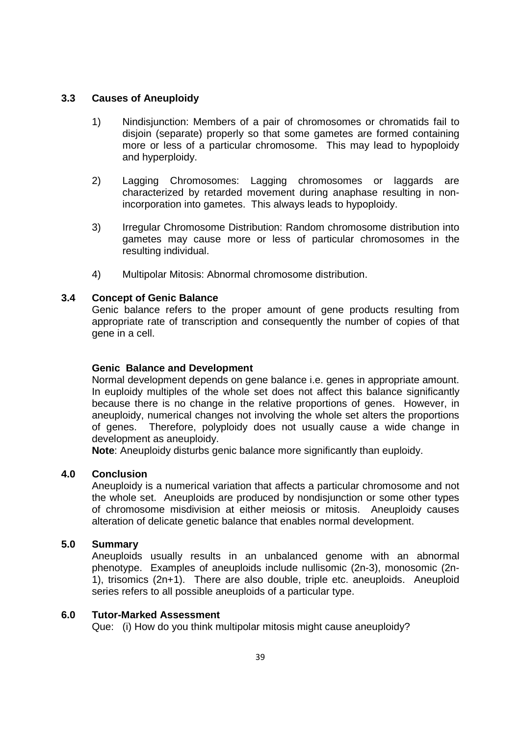### **3.3 Causes of Aneuploidy**

- 1) Nindisjunction: Members of a pair of chromosomes or chromatids fail to disjoin (separate) properly so that some gametes are formed containing more or less of a particular chromosome. This may lead to hypoploidy and hyperploidy.
- 2) Lagging Chromosomes: Lagging chromosomes or laggards are characterized by retarded movement during anaphase resulting in nonincorporation into gametes. This always leads to hypoploidy.
- 3) Irregular Chromosome Distribution: Random chromosome distribution into gametes may cause more or less of particular chromosomes in the resulting individual.
- 4) Multipolar Mitosis: Abnormal chromosome distribution.

### **3.4 Concept of Genic Balance**

Genic balance refers to the proper amount of gene products resulting from appropriate rate of transcription and consequently the number of copies of that gene in a cell.

### **Genic Balance and Development**

Normal development depends on gene balance i.e. genes in appropriate amount. In euploidy multiples of the whole set does not affect this balance significantly because there is no change in the relative proportions of genes. However, in aneuploidy, numerical changes not involving the whole set alters the proportions of genes. Therefore, polyploidy does not usually cause a wide change in development as aneuploidy.

**Note**: Aneuploidy disturbs genic balance more significantly than euploidy.

### **4.0 Conclusion**

Aneuploidy is a numerical variation that affects a particular chromosome and not the whole set. Aneuploids are produced by nondisjunction or some other types of chromosome misdivision at either meiosis or mitosis. Aneuploidy causes alteration of delicate genetic balance that enables normal development.

### **5.0 Summary**

Aneuploids usually results in an unbalanced genome with an abnormal phenotype. Examples of aneuploids include nullisomic (2n-3), monosomic (2n-1), trisomics (2n+1). There are also double, triple etc. aneuploids. Aneuploid series refers to all possible aneuploids of a particular type.

### **6.0 Tutor-Marked Assessment**

Que: (i) How do you think multipolar mitosis might cause aneuploidy?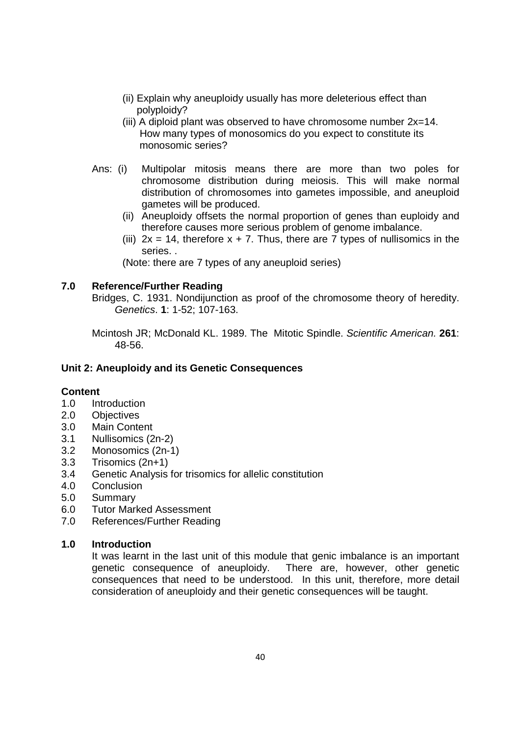- (ii) Explain why aneuploidy usually has more deleterious effect than polyploidy?
- (iii) A diploid plant was observed to have chromosome number  $2x=14$ . How many types of monosomics do you expect to constitute its monosomic series?
- Ans: (i) Multipolar mitosis means there are more than two poles for chromosome distribution during meiosis. This will make normal distribution of chromosomes into gametes impossible, and aneuploid gametes will be produced.
	- (ii) Aneuploidy offsets the normal proportion of genes than euploidy and therefore causes more serious problem of genome imbalance.
	- (iii)  $2x = 14$ , therefore  $x + 7$ . Thus, there are 7 types of nullisomics in the series. .

(Note: there are 7 types of any aneuploid series)

### **7.0 Reference/Further Reading**

Bridges, C. 1931. Nondijunction as proof of the chromosome theory of heredity. Genetics. **1**: 1-52; 107-163.

Mcintosh JR; McDonald KL. 1989. The Mitotic Spindle. Scientific American. **261**: 48-56.

### **Unit 2: Aneuploidy and its Genetic Consequences**

### **Content**

- 1.0 Introduction
- 2.0 Objectives
- 3.0 Main Content
- 3.1 Nullisomics (2n-2)
- 3.2 Monosomics (2n-1)
- 3.3 Trisomics (2n+1)
- 3.4 Genetic Analysis for trisomics for allelic constitution
- 4.0 Conclusion
- 5.0 Summary
- 6.0 Tutor Marked Assessment
- 7.0 References/Further Reading

### **1.0 Introduction**

It was learnt in the last unit of this module that genic imbalance is an important genetic consequence of aneuploidy. There are, however, other genetic consequences that need to be understood. In this unit, therefore, more detail consideration of aneuploidy and their genetic consequences will be taught.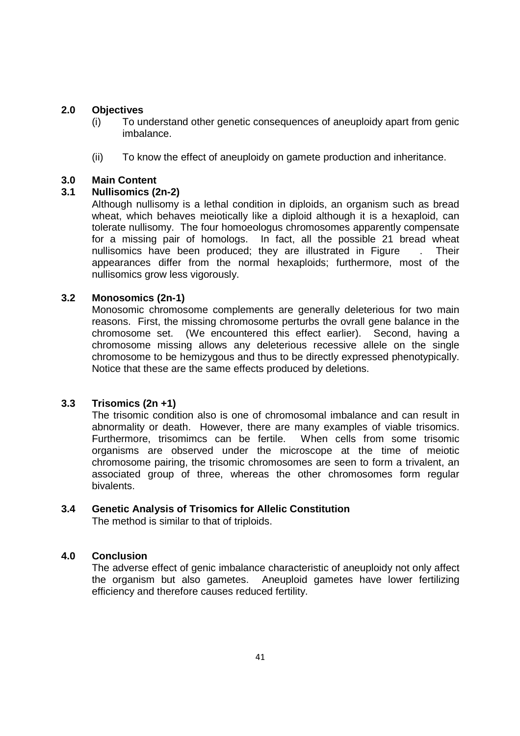### **2.0 Objectives**

- (i) To understand other genetic consequences of aneuploidy apart from genic imbalance.
- (ii) To know the effect of aneuploidy on gamete production and inheritance.

### **3.0 Main Content**

### **3.1 Nullisomics (2n-2)**

Although nullisomy is a lethal condition in diploids, an organism such as bread wheat, which behaves meiotically like a diploid although it is a hexaploid, can tolerate nullisomy. The four homoeologus chromosomes apparently compensate for a missing pair of homologs. In fact, all the possible 21 bread wheat nullisomics have been produced; they are illustrated in Figure . Their appearances differ from the normal hexaploids; furthermore, most of the nullisomics grow less vigorously.

### **3.2 Monosomics (2n-1)**

Monosomic chromosome complements are generally deleterious for two main reasons. First, the missing chromosome perturbs the ovrall gene balance in the chromosome set. (We encountered this effect earlier). Second, having a chromosome missing allows any deleterious recessive allele on the single chromosome to be hemizygous and thus to be directly expressed phenotypically. Notice that these are the same effects produced by deletions.

## **3.3 Trisomics (2n +1)**

The trisomic condition also is one of chromosomal imbalance and can result in abnormality or death. However, there are many examples of viable trisomics. Furthermore, trisomimcs can be fertile. When cells from some trisomic organisms are observed under the microscope at the time of meiotic chromosome pairing, the trisomic chromosomes are seen to form a trivalent, an associated group of three, whereas the other chromosomes form regular bivalents.

## **3.4 Genetic Analysis of Trisomics for Allelic Constitution**

The method is similar to that of triploids.

### **4.0 Conclusion**

The adverse effect of genic imbalance characteristic of aneuploidy not only affect the organism but also gametes. Aneuploid gametes have lower fertilizing efficiency and therefore causes reduced fertility.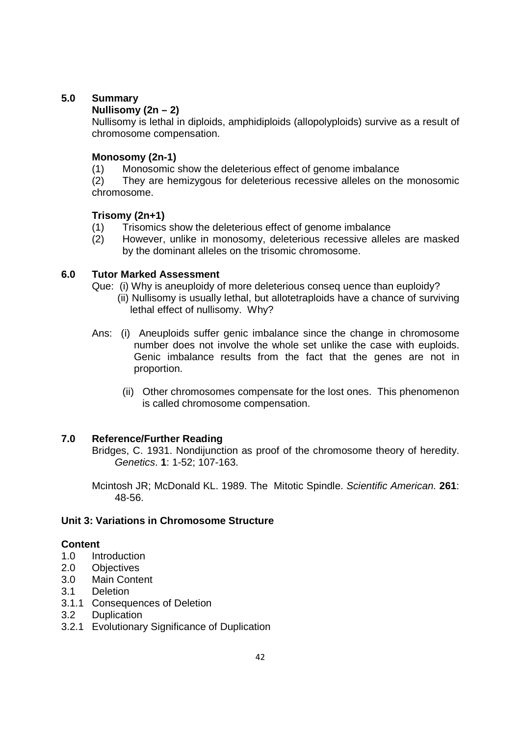## **5.0 Summary**

## **Nullisomy (2n – 2)**

Nullisomy is lethal in diploids, amphidiploids (allopolyploids) survive as a result of chromosome compensation.

### **Monosomy (2n-1)**

(1) Monosomic show the deleterious effect of genome imbalance

(2) They are hemizygous for deleterious recessive alleles on the monosomic chromosome.

### **Trisomy (2n+1)**

- (1) Trisomics show the deleterious effect of genome imbalance
- (2) However, unlike in monosomy, deleterious recessive alleles are masked by the dominant alleles on the trisomic chromosome.

### **6.0 Tutor Marked Assessment**

- Que: (i) Why is aneuploidy of more deleterious conseq uence than euploidy? (ii) Nullisomy is usually lethal, but allotetraploids have a chance of surviving lethal effect of nullisomy. Why?
- Ans: (i) Aneuploids suffer genic imbalance since the change in chromosome number does not involve the whole set unlike the case with euploids. Genic imbalance results from the fact that the genes are not in proportion.
	- (ii) Other chromosomes compensate for the lost ones. This phenomenon is called chromosome compensation.

## **7.0 Reference/Further Reading**

Bridges, C. 1931. Nondijunction as proof of the chromosome theory of heredity. Genetics. **1**: 1-52; 107-163.

Mcintosh JR; McDonald KL. 1989. The Mitotic Spindle. Scientific American. **261**: 48-56.

### **Unit 3: Variations in Chromosome Structure**

### **Content**

- 1.0 Introduction
- 2.0 Objectives
- 3.0 Main Content
- 3.1 Deletion
- 3.1.1 Consequences of Deletion
- 3.2 Duplication
- 3.2.1 Evolutionary Significance of Duplication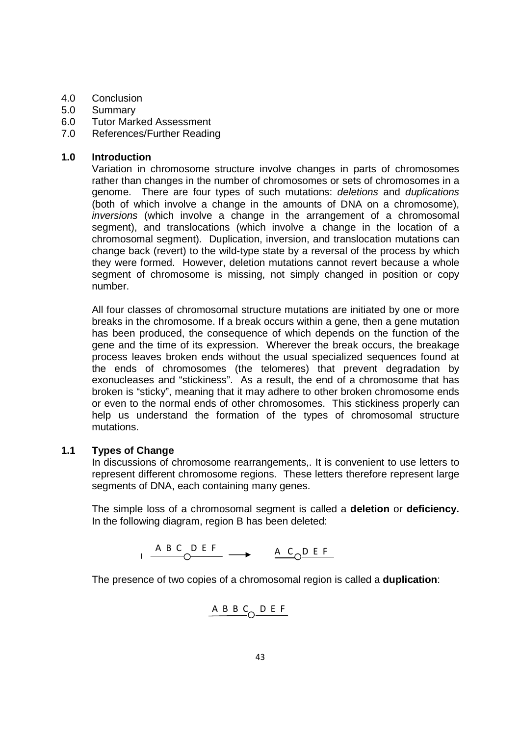### 4.0 Conclusion

- 5.0 Summary
- 6.0 Tutor Marked Assessment
- 7.0 References/Further Reading

### **1.0 Introduction**

Variation in chromosome structure involve changes in parts of chromosomes rather than changes in the number of chromosomes or sets of chromosomes in a genome. There are four types of such mutations: deletions and duplications (both of which involve a change in the amounts of DNA on a chromosome), inversions (which involve a change in the arrangement of a chromosomal segment), and translocations (which involve a change in the location of a chromosomal segment). Duplication, inversion, and translocation mutations can change back (revert) to the wild-type state by a reversal of the process by which they were formed. However, deletion mutations cannot revert because a whole segment of chromosome is missing, not simply changed in position or copy number.

All four classes of chromosomal structure mutations are initiated by one or more breaks in the chromosome. If a break occurs within a gene, then a gene mutation has been produced, the consequence of which depends on the function of the gene and the time of its expression. Wherever the break occurs, the breakage process leaves broken ends without the usual specialized sequences found at the ends of chromosomes (the telomeres) that prevent degradation by exonucleases and "stickiness". As a result, the end of a chromosome that has broken is "sticky", meaning that it may adhere to other broken chromosome ends or even to the normal ends of other chromosomes. This stickiness properly can help us understand the formation of the types of chromosomal structure mutations.

### **1.1 Types of Change**

In discussions of chromosome rearrangements,. It is convenient to use letters to represent different chromosome regions. These letters therefore represent large segments of DNA, each containing many genes.

The simple loss of a chromosomal segment is called a **deletion** or **deficiency.** In the following diagram, region B has been deleted:

$$
\begin{array}{c}\n\text{AB C D EF} \\
\end{array}\n\longrightarrow\n\begin{array}{c}\n\text{A C D EF} \\
\end{array}
$$

The presence of two copies of a chromosomal region is called a **duplication**:

$$
\begin{array}{c}\n\text{A} \text{B} \text{B} \text{C} \\
\text{C} \text{D} \text{E} \text{F}\n\end{array}
$$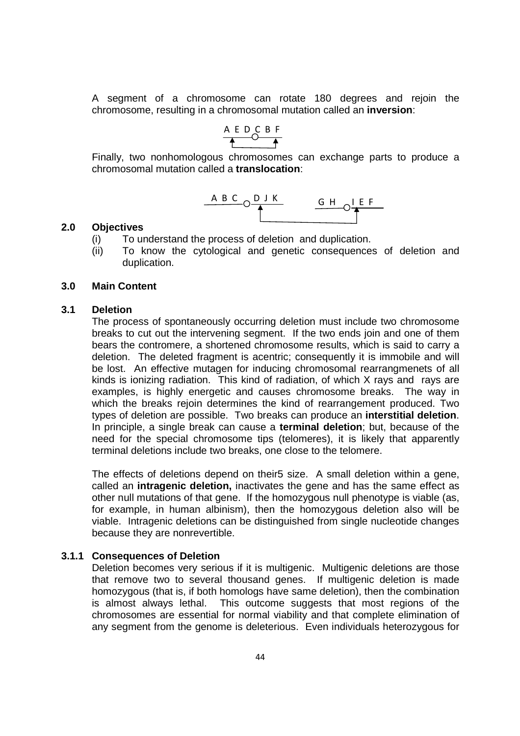A segment of a chromosome can rotate 180 degrees and rejoin the chromosome, resulting in a chromosomal mutation called an **inversion**:

$$
\begin{array}{c}\nA E D C B F \\
\hline\n\end{array}
$$

Finally, two nonhomologous chromosomes can exchange parts to produce a chromosomal mutation called a **translocation**:

$$
\begin{array}{c|c}\nAB C O DJK & G H O \downarrow EF \\
\hline\n\uparrow & & \downarrow\n\end{array}
$$

#### **2.0 Objectives**

- (i) To understand the process of deletion and duplication.
- (ii) To know the cytological and genetic consequences of deletion and duplication.

#### **3.0 Main Content**

#### **3.1 Deletion**

The process of spontaneously occurring deletion must include two chromosome breaks to cut out the intervening segment. If the two ends join and one of them bears the contromere, a shortened chromosome results, which is said to carry a deletion. The deleted fragment is acentric; consequently it is immobile and will be lost. An effective mutagen for inducing chromosomal rearrangmenets of all kinds is ionizing radiation. This kind of radiation, of which X rays and rays are examples, is highly energetic and causes chromosome breaks. The way in which the breaks rejoin determines the kind of rearrangement produced. Two types of deletion are possible. Two breaks can produce an **interstitial deletion**. In principle, a single break can cause a **terminal deletion**; but, because of the need for the special chromosome tips (telomeres), it is likely that apparently terminal deletions include two breaks, one close to the telomere.

The effects of deletions depend on their5 size. A small deletion within a gene, called an **intragenic deletion,** inactivates the gene and has the same effect as other null mutations of that gene. If the homozygous null phenotype is viable (as, for example, in human albinism), then the homozygous deletion also will be viable. Intragenic deletions can be distinguished from single nucleotide changes because they are nonrevertible.

#### **3.1.1 Consequences of Deletion**

Deletion becomes very serious if it is multigenic. Multigenic deletions are those that remove two to several thousand genes. If multigenic deletion is made homozygous (that is, if both homologs have same deletion), then the combination is almost always lethal. This outcome suggests that most regions of the chromosomes are essential for normal viability and that complete elimination of any segment from the genome is deleterious. Even individuals heterozygous for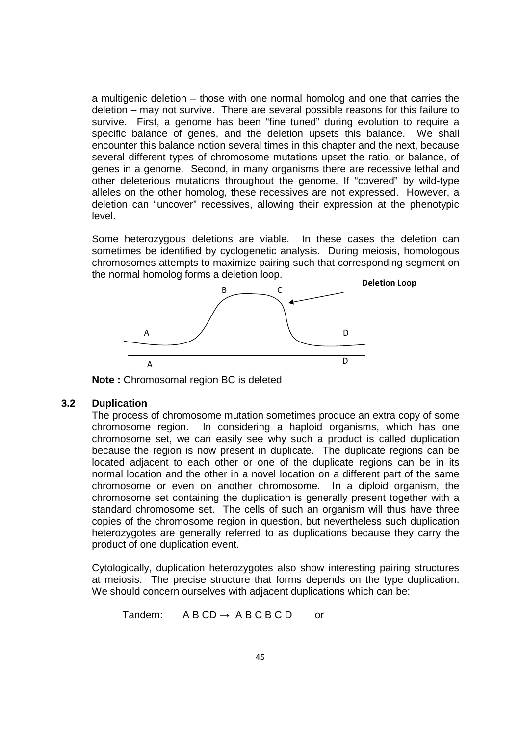a multigenic deletion – those with one normal homolog and one that carries the deletion – may not survive. There are several possible reasons for this failure to survive. First, a genome has been "fine tuned" during evolution to require a specific balance of genes, and the deletion upsets this balance. We shall encounter this balance notion several times in this chapter and the next, because several different types of chromosome mutations upset the ratio, or balance, of genes in a genome. Second, in many organisms there are recessive lethal and other deleterious mutations throughout the genome. If "covered" by wild-type alleles on the other homolog, these recessives are not expressed. However, a deletion can "uncover" recessives, allowing their expression at the phenotypic level.

Some heterozygous deletions are viable. In these cases the deletion can sometimes be identified by cyclogenetic analysis. During meiosis, homologous chromosomes attempts to maximize pairing such that corresponding segment on the normal homolog forms a deletion loop. **Deletion Loop**



**Note :** Chromosomal region BC is deleted

### **3.2 Duplication**

The process of chromosome mutation sometimes produce an extra copy of some chromosome region. In considering a haploid organisms, which has one chromosome set, we can easily see why such a product is called duplication because the region is now present in duplicate. The duplicate regions can be located adjacent to each other or one of the duplicate regions can be in its normal location and the other in a novel location on a different part of the same chromosome or even on another chromosome. In a diploid organism, the chromosome set containing the duplication is generally present together with a standard chromosome set. The cells of such an organism will thus have three copies of the chromosome region in question, but nevertheless such duplication heterozygotes are generally referred to as duplications because they carry the product of one duplication event.

Cytologically, duplication heterozygotes also show interesting pairing structures at meiosis. The precise structure that forms depends on the type duplication. We should concern ourselves with adjacent duplications which can be:

Tandem:  $ABCD \rightarrow ABCBC$  Or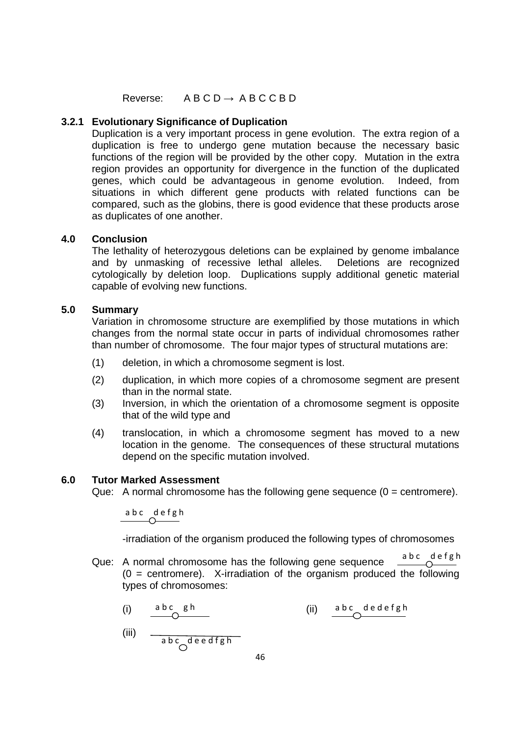Reverse:  $ABCD \rightarrow ABCCBD$ 

### **3.2.1 Evolutionary Significance of Duplication**

Duplication is a very important process in gene evolution. The extra region of a duplication is free to undergo gene mutation because the necessary basic functions of the region will be provided by the other copy. Mutation in the extra region provides an opportunity for divergence in the function of the duplicated genes, which could be advantageous in genome evolution. Indeed, from situations in which different gene products with related functions can be compared, such as the globins, there is good evidence that these products arose as duplicates of one another.

#### **4.0 Conclusion**

The lethality of heterozygous deletions can be explained by genome imbalance and by unmasking of recessive lethal alleles. Deletions are recognized cytologically by deletion loop. Duplications supply additional genetic material capable of evolving new functions.

#### **5.0 Summary**

Variation in chromosome structure are exemplified by those mutations in which changes from the normal state occur in parts of individual chromosomes rather than number of chromosome. The four major types of structural mutations are:

- (1) deletion, in which a chromosome segment is lost.
- (2) duplication, in which more copies of a chromosome segment are present than in the normal state.
- (3) Inversion, in which the orientation of a chromosome segment is opposite that of the wild type and
- (4) translocation, in which a chromosome segment has moved to a new location in the genome. The consequences of these structural mutations depend on the specific mutation involved.

#### **6.0 Tutor Marked Assessment**

Que: A normal chromosome has the following gene sequence  $(0 =$  centromere).

abc defeh

-irradiation of the organism produced the following types of chromosomes

- Que: A normal chromosome has the following gene sequence  $\frac{a b c}{\sqrt{a b c}}$  $(0 =$  centromere). X-irradiation of the organism produced the following types of chromosomes:
	- (i)  $\frac{abc}{2}gh$  (ii) a b c d e d e f g h

(iii) 
$$
\frac{a b c}{a b c} \frac{d e e d f g h}{c}
$$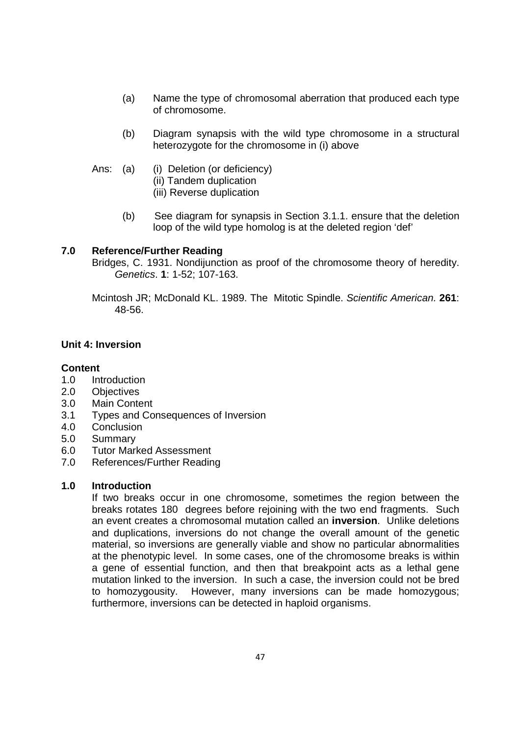- (a) Name the type of chromosomal aberration that produced each type of chromosome.
- (b) Diagram synapsis with the wild type chromosome in a structural heterozygote for the chromosome in (i) above
- Ans: (a) (i) Deletion (or deficiency) (ii) Tandem duplication (iii) Reverse duplication
	- (b) See diagram for synapsis in Section 3.1.1. ensure that the deletion loop of the wild type homolog is at the deleted region 'def'

#### **7.0 Reference/Further Reading**

Bridges, C. 1931. Nondijunction as proof of the chromosome theory of heredity. Genetics. **1**: 1-52; 107-163.

Mcintosh JR; McDonald KL. 1989. The Mitotic Spindle. Scientific American. **261**: 48-56.

### **Unit 4: Inversion**

#### **Content**

- 1.0 Introduction
- 2.0 Objectives
- 3.0 Main Content
- 3.1 Types and Consequences of Inversion
- 4.0 Conclusion
- 5.0 Summary
- 6.0 Tutor Marked Assessment
- 7.0 References/Further Reading

### **1.0 Introduction**

If two breaks occur in one chromosome, sometimes the region between the breaks rotates 180 degrees before rejoining with the two end fragments. Such an event creates a chromosomal mutation called an **inversion**. Unlike deletions and duplications, inversions do not change the overall amount of the genetic material, so inversions are generally viable and show no particular abnormalities at the phenotypic level. In some cases, one of the chromosome breaks is within a gene of essential function, and then that breakpoint acts as a lethal gene mutation linked to the inversion. In such a case, the inversion could not be bred to homozygousity. However, many inversions can be made homozygous; furthermore, inversions can be detected in haploid organisms.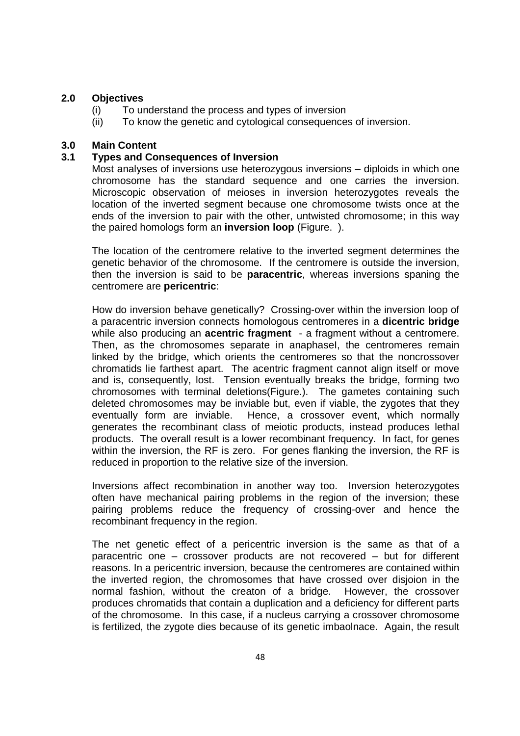### **2.0 Objectives**

- (i) To understand the process and types of inversion
- (ii) To know the genetic and cytological consequences of inversion.

### **3.0 Main Content**

### **3.1 Types and Consequences of Inversion**

Most analyses of inversions use heterozygous inversions – diploids in which one chromosome has the standard sequence and one carries the inversion. Microscopic observation of meioses in inversion heterozygotes reveals the location of the inverted segment because one chromosome twists once at the ends of the inversion to pair with the other, untwisted chromosome; in this way the paired homologs form an **inversion loop** (Figure. ).

The location of the centromere relative to the inverted segment determines the genetic behavior of the chromosome. If the centromere is outside the inversion, then the inversion is said to be **paracentric**, whereas inversions spaning the centromere are **pericentric**:

How do inversion behave genetically? Crossing-over within the inversion loop of a paracentric inversion connects homologous centromeres in a **dicentric bridge** while also producing an **acentric fragment** - a fragment without a centromere. Then, as the chromosomes separate in anaphaseI, the centromeres remain linked by the bridge, which orients the centromeres so that the noncrossover chromatids lie farthest apart. The acentric fragment cannot align itself or move and is, consequently, lost. Tension eventually breaks the bridge, forming two chromosomes with terminal deletions(Figure.). The gametes containing such deleted chromosomes may be inviable but, even if viable, the zygotes that they eventually form are inviable. Hence, a crossover event, which normally generates the recombinant class of meiotic products, instead produces lethal products. The overall result is a lower recombinant frequency. In fact, for genes within the inversion, the RF is zero. For genes flanking the inversion, the RF is reduced in proportion to the relative size of the inversion.

Inversions affect recombination in another way too. Inversion heterozygotes often have mechanical pairing problems in the region of the inversion; these pairing problems reduce the frequency of crossing-over and hence the recombinant frequency in the region.

The net genetic effect of a pericentric inversion is the same as that of a paracentric one – crossover products are not recovered – but for different reasons. In a pericentric inversion, because the centromeres are contained within the inverted region, the chromosomes that have crossed over disjoion in the normal fashion, without the creaton of a bridge. However, the crossover produces chromatids that contain a duplication and a deficiency for different parts of the chromosome. In this case, if a nucleus carrying a crossover chromosome is fertilized, the zygote dies because of its genetic imbaolnace. Again, the result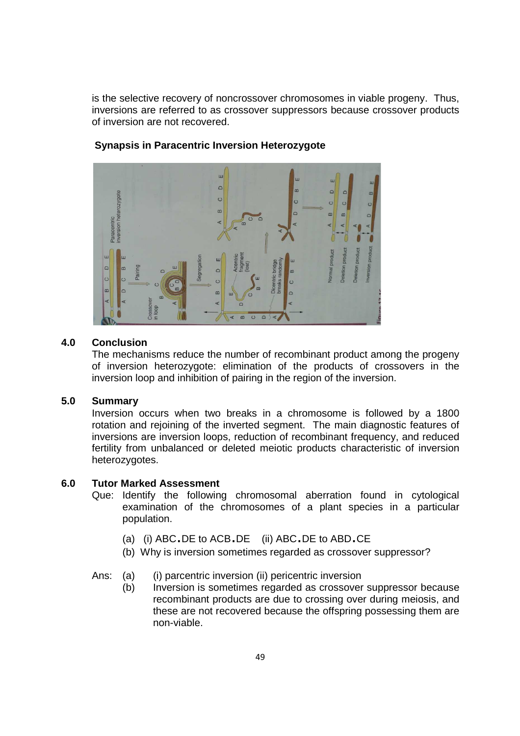is the selective recovery of noncrossover chromosomes in viable progeny. Thus, inversions are referred to as crossover suppressors because crossover products of inversion are not recovered.



#### **Synapsis in Paracentric Inversion Heterozygote**

#### **4.0 Conclusion**

The mechanisms reduce the number of recombinant product among the progeny of inversion heterozygote: elimination of the products of crossovers in the inversion loop and inhibition of pairing in the region of the inversion.

#### **5.0 Summary**

Inversion occurs when two breaks in a chromosome is followed by a 1800 rotation and rejoining of the inverted segment. The main diagnostic features of inversions are inversion loops, reduction of recombinant frequency, and reduced fertility from unbalanced or deleted meiotic products characteristic of inversion heterozygotes.

### **6.0 Tutor Marked Assessment**

- Que: Identify the following chromosomal aberration found in cytological examination of the chromosomes of a plant species in a particular population.
	- (a) (i) ABC.DE to ACB.DE (ii) ABC.DE to ABD.CE
	- (b) Why is inversion sometimes regarded as crossover suppressor?
- Ans: (a) (i) parcentric inversion (ii) pericentric inversion
	- (b) Inversion is sometimes regarded as crossover suppressor because recombinant products are due to crossing over during meiosis, and these are not recovered because the offspring possessing them are non-viable.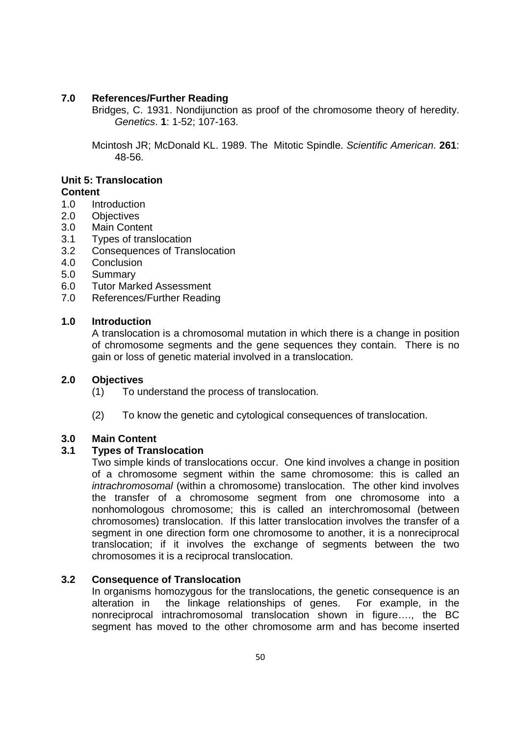### **7.0 References/Further Reading**

Bridges, C. 1931. Nondijunction as proof of the chromosome theory of heredity. Genetics. **1**: 1-52; 107-163.

Mcintosh JR; McDonald KL. 1989. The Mitotic Spindle. Scientific American. **261**: 48-56.

# **Unit 5: Translocation**

## **Content**

- 1.0 Introduction
- 2.0 Objectives
- 3.0 Main Content
- 3.1 Types of translocation
- 3.2 Consequences of Translocation
- 4.0 Conclusion
- 5.0 Summary
- 6.0 Tutor Marked Assessment
- 7.0 References/Further Reading

### **1.0 Introduction**

A translocation is a chromosomal mutation in which there is a change in position of chromosome segments and the gene sequences they contain. There is no gain or loss of genetic material involved in a translocation.

### **2.0 Objectives**

- (1) To understand the process of translocation.
- (2) To know the genetic and cytological consequences of translocation.

### **3.0 Main Content**

## **3.1 Types of Translocation**

Two simple kinds of translocations occur. One kind involves a change in position of a chromosome segment within the same chromosome: this is called an intrachromosomal (within a chromosome) translocation. The other kind involves the transfer of a chromosome segment from one chromosome into a nonhomologous chromosome; this is called an interchromosomal (between chromosomes) translocation. If this latter translocation involves the transfer of a segment in one direction form one chromosome to another, it is a nonreciprocal translocation; if it involves the exchange of segments between the two chromosomes it is a reciprocal translocation.

### **3.2 Consequence of Translocation**

In organisms homozygous for the translocations, the genetic consequence is an alteration in the linkage relationships of genes. For example, in the nonreciprocal intrachromosomal translocation shown in figure…., the BC segment has moved to the other chromosome arm and has become inserted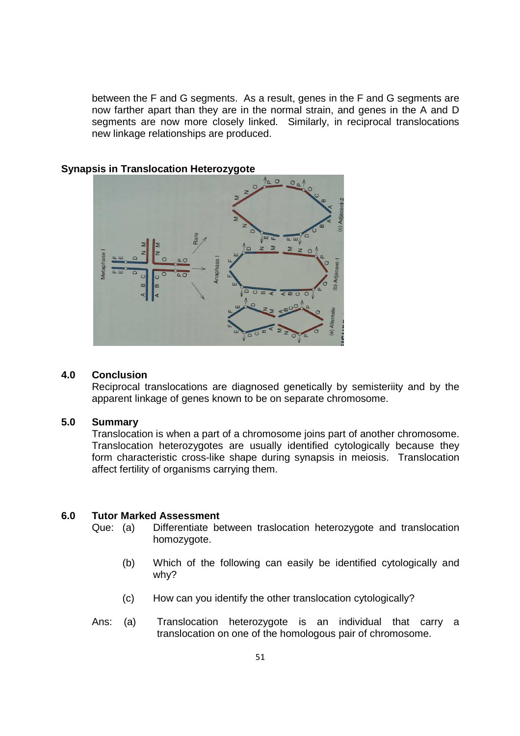between the F and G segments. As a result, genes in the F and G segments are now farther apart than they are in the normal strain, and genes in the A and D segments are now more closely linked. Similarly, in reciprocal translocations new linkage relationships are produced.



### **Synapsis in Translocation Heterozygote**

#### **4.0 Conclusion**

Reciprocal translocations are diagnosed genetically by semisteriity and by the apparent linkage of genes known to be on separate chromosome.

#### **5.0 Summary**

Translocation is when a part of a chromosome joins part of another chromosome. Translocation heterozygotes are usually identified cytologically because they form characteristic cross-like shape during synapsis in meiosis. Translocation affect fertility of organisms carrying them.

#### **6.0 Tutor Marked Assessment**

- Que: (a) Differentiate between traslocation heterozygote and translocation homozygote.
	- (b) Which of the following can easily be identified cytologically and why?
	- (c) How can you identify the other translocation cytologically?
- Ans: (a) Translocation heterozygote is an individual that carry a translocation on one of the homologous pair of chromosome.